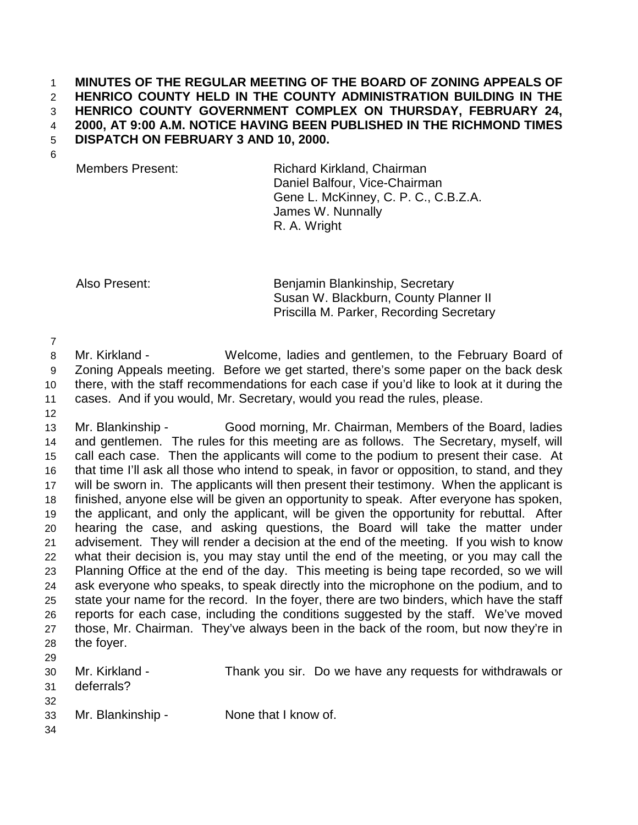## 1 **MINUTES OF THE REGULAR MEETING OF THE BOARD OF ZONING APPEALS OF**  2 **HENRICO COUNTY HELD IN THE COUNTY ADMINISTRATION BUILDING IN THE**  3 **HENRICO COUNTY GOVERNMENT COMPLEX ON THURSDAY, FEBRUARY 24,**  4 **2000, AT 9:00 A.M. NOTICE HAVING BEEN PUBLISHED IN THE RICHMOND TIMES**  5 **DISPATCH ON FEBRUARY 3 AND 10, 2000.**

6

Members Present: Richard Kirkland, Chairman Daniel Balfour, Vice-Chairman Gene L. McKinney, C. P. C., C.B.Z.A. James W. Nunnally R. A. Wright

Also Present: Benjamin Blankinship, Secretary Susan W. Blackburn, County Planner II Priscilla M. Parker, Recording Secretary

7

12

8 Mr. Kirkland - Welcome, ladies and gentlemen, to the February Board of 9 Zoning Appeals meeting. Before we get started, there's some paper on the back desk 10 there, with the staff recommendations for each case if you'd like to look at it during the 11 cases. And if you would, Mr. Secretary, would you read the rules, please.

13 Mr. Blankinship - Good morning, Mr. Chairman, Members of the Board, ladies 14 and gentlemen. The rules for this meeting are as follows. The Secretary, myself, will 15 call each case. Then the applicants will come to the podium to present their case. At 16 that time I'll ask all those who intend to speak, in favor or opposition, to stand, and they 17 will be sworn in. The applicants will then present their testimony. When the applicant is 18 finished, anyone else will be given an opportunity to speak. After everyone has spoken, 19 the applicant, and only the applicant, will be given the opportunity for rebuttal. After 20 hearing the case, and asking questions, the Board will take the matter under 21 advisement. They will render a decision at the end of the meeting. If you wish to know 22 what their decision is, you may stay until the end of the meeting, or you may call the 23 Planning Office at the end of the day. This meeting is being tape recorded, so we will 24 ask everyone who speaks, to speak directly into the microphone on the podium, and to 25 state your name for the record. In the foyer, there are two binders, which have the staff 26 reports for each case, including the conditions suggested by the staff. We've moved 27 those, Mr. Chairman. They've always been in the back of the room, but now they're in 28 the foyer. 29

- 30 Mr. Kirkland Thank you sir. Do we have any requests for withdrawals or
- 31 deferrals?
- 32
- 33 Mr. Blankinship None that I know of.
- 34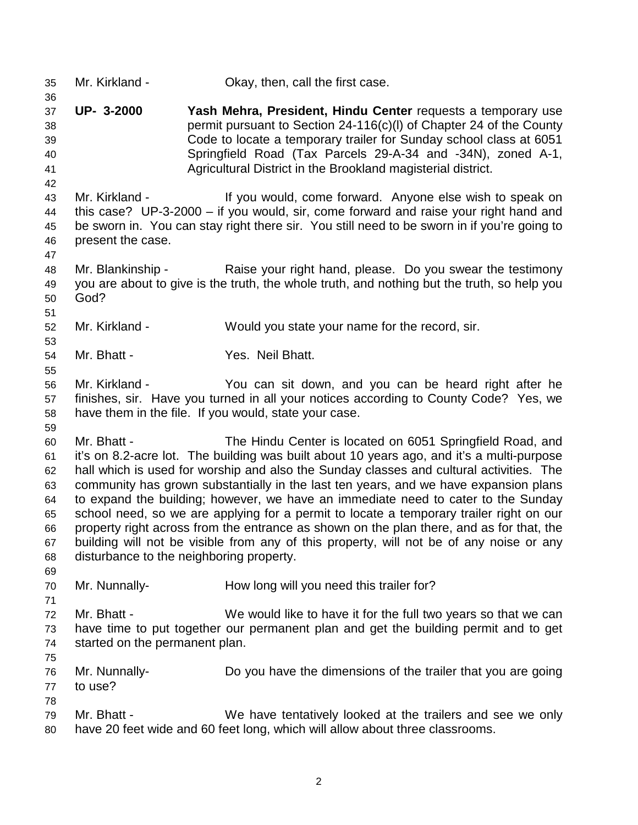35 Mr. Kirkland - Okay, then, call the first case. 36 37 **UP- 3-2000 Yash Mehra, President, Hindu Center** requests a temporary use 38 permit pursuant to Section 24-116(c)(l) of Chapter 24 of the County 39 Code to locate a temporary trailer for Sunday school class at 6051 40 Springfield Road (Tax Parcels 29-A-34 and -34N), zoned A-1, 41 Agricultural District in the Brookland magisterial district. 42 43 Mr. Kirkland - If you would, come forward. Anyone else wish to speak on 44 this case? UP-3-2000 – if you would, sir, come forward and raise your right hand and 45 be sworn in. You can stay right there sir. You still need to be sworn in if you're going to 46 present the case. 47 48 Mr. Blankinship - Raise your right hand, please. Do you swear the testimony 49 you are about to give is the truth, the whole truth, and nothing but the truth, so help you 50 God? 51 52 Mr. Kirkland - Would you state your name for the record, sir. 53 54 Mr. Bhatt - Yes. Neil Bhatt. 55 56 Mr. Kirkland - You can sit down, and you can be heard right after he 57 finishes, sir. Have you turned in all your notices according to County Code? Yes, we 58 have them in the file. If you would, state your case. 59 60 Mr. Bhatt - The Hindu Center is located on 6051 Springfield Road, and 61 it's on 8.2-acre lot. The building was built about 10 years ago, and it's a multi-purpose 62 hall which is used for worship and also the Sunday classes and cultural activities. The 63 community has grown substantially in the last ten years, and we have expansion plans 64 to expand the building; however, we have an immediate need to cater to the Sunday 65 school need, so we are applying for a permit to locate a temporary trailer right on our 66 property right across from the entrance as shown on the plan there, and as for that, the 67 building will not be visible from any of this property, will not be of any noise or any 68 disturbance to the neighboring property. 69 70 Mr. Nunnally- How long will you need this trailer for? 71 72 Mr. Bhatt - We would like to have it for the full two years so that we can 73 have time to put together our permanent plan and get the building permit and to get 74 started on the permanent plan. 75 76 Mr. Nunnally- Do you have the dimensions of the trailer that you are going 77 to use? 78 79 Mr. Bhatt - We have tentatively looked at the trailers and see we only 80 have 20 feet wide and 60 feet long, which will allow about three classrooms.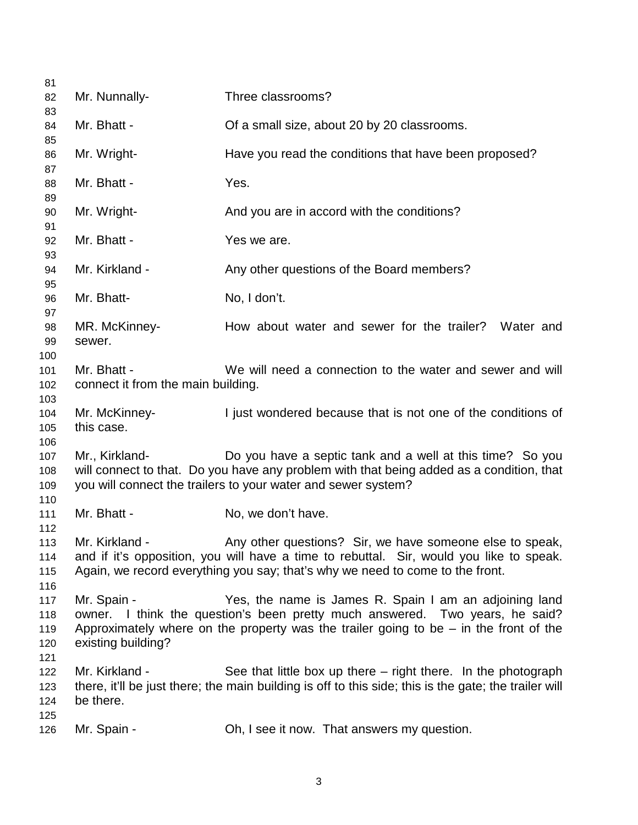| 81         |                                    |                                                                                                                                        |
|------------|------------------------------------|----------------------------------------------------------------------------------------------------------------------------------------|
| 82         | Mr. Nunnally-                      | Three classrooms?                                                                                                                      |
| 83         |                                    |                                                                                                                                        |
| 84         | Mr. Bhatt -                        | Of a small size, about 20 by 20 classrooms.                                                                                            |
| 85<br>86   | Mr. Wright-                        | Have you read the conditions that have been proposed?                                                                                  |
| 87         |                                    |                                                                                                                                        |
| 88         | Mr. Bhatt -                        | Yes.                                                                                                                                   |
| 89         |                                    |                                                                                                                                        |
| 90         | Mr. Wright-                        | And you are in accord with the conditions?                                                                                             |
| 91         |                                    |                                                                                                                                        |
| 92         | Mr. Bhatt -                        | Yes we are.                                                                                                                            |
| 93<br>94   | Mr. Kirkland -                     | Any other questions of the Board members?                                                                                              |
| 95         |                                    |                                                                                                                                        |
| 96         | Mr. Bhatt-                         | No, I don't.                                                                                                                           |
| 97         |                                    |                                                                                                                                        |
| 98         | MR. McKinney-                      | How about water and sewer for the trailer? Water and                                                                                   |
| 99         | sewer.                             |                                                                                                                                        |
| 100        |                                    |                                                                                                                                        |
| 101        | Mr. Bhatt -                        | We will need a connection to the water and sewer and will                                                                              |
| 102        | connect it from the main building. |                                                                                                                                        |
| 103        |                                    |                                                                                                                                        |
| 104        | Mr. McKinney-                      | I just wondered because that is not one of the conditions of                                                                           |
| 105<br>106 | this case.                         |                                                                                                                                        |
| 107        | Mr., Kirkland-                     | Do you have a septic tank and a well at this time? So you                                                                              |
| 108        |                                    | will connect to that. Do you have any problem with that being added as a condition, that                                               |
| 109        |                                    | you will connect the trailers to your water and sewer system?                                                                          |
| 110        |                                    |                                                                                                                                        |
| 111        | Mr. Bhatt -                        | No, we don't have.                                                                                                                     |
| 112        |                                    |                                                                                                                                        |
| 113        | Mr. Kirkland -                     | Any other questions? Sir, we have someone else to speak,                                                                               |
| 114        |                                    | and if it's opposition, you will have a time to rebuttal. Sir, would you like to speak.                                                |
| 115        |                                    | Again, we record everything you say; that's why we need to come to the front.                                                          |
| 116        |                                    |                                                                                                                                        |
| 117        | Mr. Spain -                        | Yes, the name is James R. Spain I am an adjoining land<br>owner. I think the question's been pretty much answered. Two years, he said? |
| 118<br>119 |                                    | Approximately where on the property was the trailer going to be $-$ in the front of the                                                |
| 120        | existing building?                 |                                                                                                                                        |
| 121        |                                    |                                                                                                                                        |
| 122        | Mr. Kirkland -                     | See that little box up there $-$ right there. In the photograph                                                                        |
| 123        |                                    | there, it'll be just there; the main building is off to this side; this is the gate; the trailer will                                  |
| 124        | be there.                          |                                                                                                                                        |
| 125        |                                    |                                                                                                                                        |
| 126        | Mr. Spain -                        | Oh, I see it now. That answers my question.                                                                                            |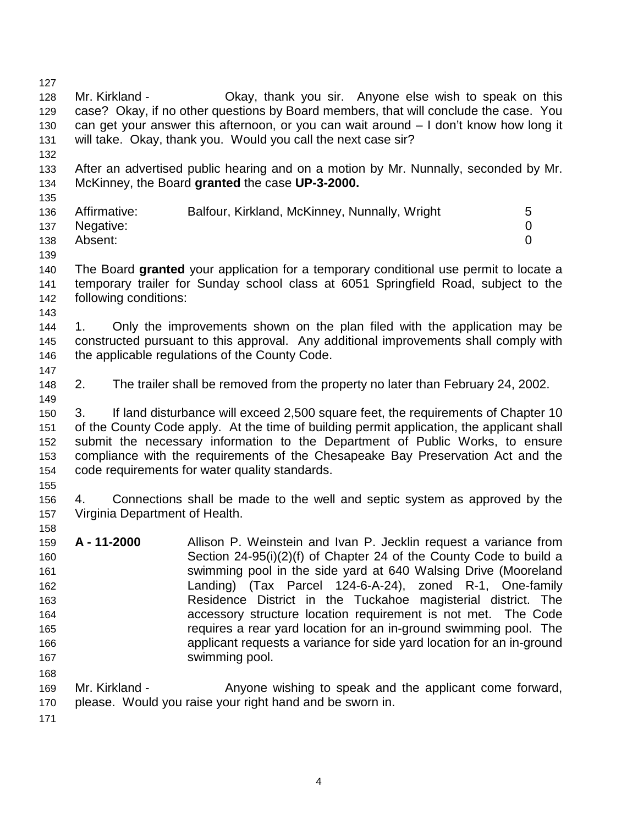127 128 Mr. Kirkland - Okay, thank you sir. Anyone else wish to speak on this 129 case? Okay, if no other questions by Board members, that will conclude the case. You 130 can get your answer this afternoon, or you can wait around – I don't know how long it 131 will take. Okay, thank you. Would you call the next case sir? 132 133 After an advertised public hearing and on a motion by Mr. Nunnally, seconded by Mr. 134 McKinney, the Board **granted** the case **UP-3-2000.** 135 136 Affirmative: Balfour, Kirkland, McKinney, Nunnally, Wright 5 137 Negative: 0 138 Absent: 0 139 140 The Board **granted** your application for a temporary conditional use permit to locate a 141 temporary trailer for Sunday school class at 6051 Springfield Road, subject to the 142 following conditions: 143 144 1. Only the improvements shown on the plan filed with the application may be 145 constructed pursuant to this approval. Any additional improvements shall comply with 146 the applicable regulations of the County Code. 147 148 2. The trailer shall be removed from the property no later than February 24, 2002. 149 150 3. If land disturbance will exceed 2,500 square feet, the requirements of Chapter 10 151 of the County Code apply. At the time of building permit application, the applicant shall 152 submit the necessary information to the Department of Public Works, to ensure 153 compliance with the requirements of the Chesapeake Bay Preservation Act and the 154 code requirements for water quality standards. 155 156 4. Connections shall be made to the well and septic system as approved by the 157 Virginia Department of Health. 158 159 **A - 11-2000** Allison P. Weinstein and Ivan P. Jecklin request a variance from 160 Section 24-95(i)(2)(f) of Chapter 24 of the County Code to build a 161 swimming pool in the side yard at 640 Walsing Drive (Mooreland 162 Landing) (Tax Parcel 124-6-A-24), zoned R-1, One-family 163 Residence District in the Tuckahoe magisterial district. The 164 accessory structure location requirement is not met. The Code 165 requires a rear yard location for an in-ground swimming pool. The 166 applicant requests a variance for side yard location for an in-ground 167 **Swimming pool.** 168 169 Mr. Kirkland - Anyone wishing to speak and the applicant come forward, 170 please. Would you raise your right hand and be sworn in. 171

4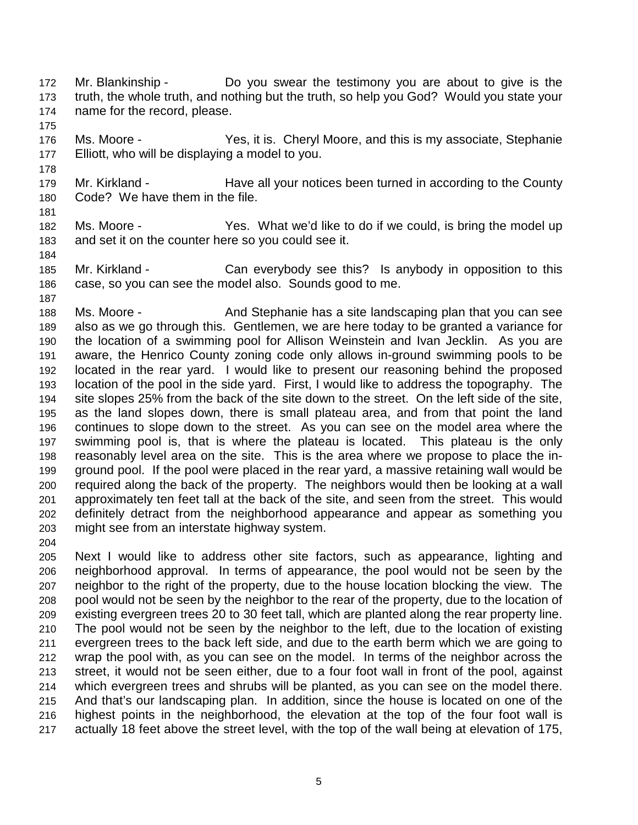172 Mr. Blankinship - Do you swear the testimony you are about to give is the 173 truth, the whole truth, and nothing but the truth, so help you God? Would you state your 174 name for the record, please.

175

178

176 Ms. Moore - Yes, it is. Cheryl Moore, and this is my associate, Stephanie 177 Elliott, who will be displaying a model to you.

179 Mr. Kirkland - Have all your notices been turned in according to the County 180 Code? We have them in the file.

181

182 Ms. Moore - Yes. What we'd like to do if we could, is bring the model up 183 and set it on the counter here so you could see it.

184

185 Mr. Kirkland - Can everybody see this? Is anybody in opposition to this 186 case, so you can see the model also. Sounds good to me. 187

188 Ms. Moore - And Stephanie has a site landscaping plan that you can see 189 also as we go through this. Gentlemen, we are here today to be granted a variance for 190 the location of a swimming pool for Allison Weinstein and Ivan Jecklin. As you are 191 aware, the Henrico County zoning code only allows in-ground swimming pools to be 192 located in the rear yard. I would like to present our reasoning behind the proposed 193 location of the pool in the side yard. First, I would like to address the topography. The 194 site slopes 25% from the back of the site down to the street. On the left side of the site, 195 as the land slopes down, there is small plateau area, and from that point the land 196 continues to slope down to the street. As you can see on the model area where the 197 swimming pool is, that is where the plateau is located. This plateau is the only 198 reasonably level area on the site. This is the area where we propose to place the in-199 ground pool. If the pool were placed in the rear yard, a massive retaining wall would be 200 required along the back of the property. The neighbors would then be looking at a wall 201 approximately ten feet tall at the back of the site, and seen from the street. This would 202 definitely detract from the neighborhood appearance and appear as something you 203 might see from an interstate highway system.

204

205 Next I would like to address other site factors, such as appearance, lighting and 206 neighborhood approval. In terms of appearance, the pool would not be seen by the 207 neighbor to the right of the property, due to the house location blocking the view. The 208 pool would not be seen by the neighbor to the rear of the property, due to the location of 209 existing evergreen trees 20 to 30 feet tall, which are planted along the rear property line. 210 The pool would not be seen by the neighbor to the left, due to the location of existing 211 evergreen trees to the back left side, and due to the earth berm which we are going to 212 wrap the pool with, as you can see on the model. In terms of the neighbor across the 213 street, it would not be seen either, due to a four foot wall in front of the pool, against 214 which evergreen trees and shrubs will be planted, as you can see on the model there. 215 And that's our landscaping plan. In addition, since the house is located on one of the 216 highest points in the neighborhood, the elevation at the top of the four foot wall is 217 actually 18 feet above the street level, with the top of the wall being at elevation of 175,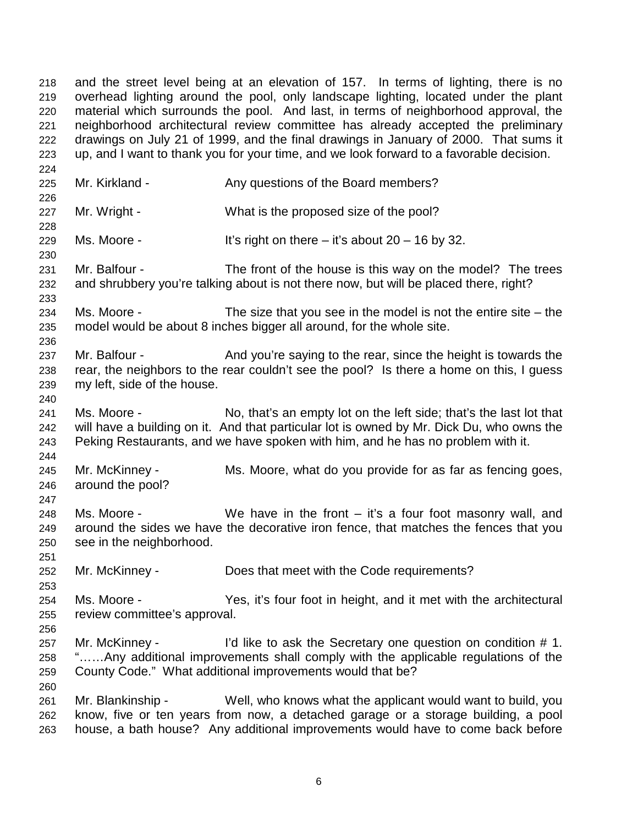218 and the street level being at an elevation of 157. In terms of lighting, there is no 219 overhead lighting around the pool, only landscape lighting, located under the plant 220 material which surrounds the pool. And last, in terms of neighborhood approval, the 221 neighborhood architectural review committee has already accepted the preliminary 222 drawings on July 21 of 1999, and the final drawings in January of 2000. That sums it 223 up, and I want to thank you for your time, and we look forward to a favorable decision.

224

225 Mr. Kirkland - Any questions of the Board members? 226 227 Mr. Wright - What is the proposed size of the pool? 228 229 Ms. Moore - It's right on there – it's about  $20 - 16$  by 32. 230 231 Mr. Balfour - The front of the house is this way on the model? The trees 232 and shrubbery you're talking about is not there now, but will be placed there, right? 233 234 Ms. Moore - The size that you see in the model is not the entire site – the 235 model would be about 8 inches bigger all around, for the whole site. 236 237 Mr. Balfour - And you're saying to the rear, since the height is towards the 238 rear, the neighbors to the rear couldn't see the pool? Is there a home on this, I guess 239 my left, side of the house. 240 241 Ms. Moore - No, that's an empty lot on the left side; that's the last lot that 242 will have a building on it. And that particular lot is owned by Mr. Dick Du, who owns the 243 Peking Restaurants, and we have spoken with him, and he has no problem with it. 244 245 Mr. McKinney - Ms. Moore, what do you provide for as far as fencing goes, 246 around the pool? 247 248 Ms. Moore - We have in the front – it's a four foot masonry wall, and 249 around the sides we have the decorative iron fence, that matches the fences that you 250 see in the neighborhood. 251 252 Mr. McKinney - Does that meet with the Code requirements? 253 254 Ms. Moore - Yes, it's four foot in height, and it met with the architectural 255 review committee's approval. 256 257 Mr. McKinney - I'd like to ask the Secretary one question on condition # 1. 258 "……Any additional improvements shall comply with the applicable regulations of the 259 County Code." What additional improvements would that be? 260 261 Mr. Blankinship - Well, who knows what the applicant would want to build, you 262 know, five or ten years from now, a detached garage or a storage building, a pool 263 house, a bath house? Any additional improvements would have to come back before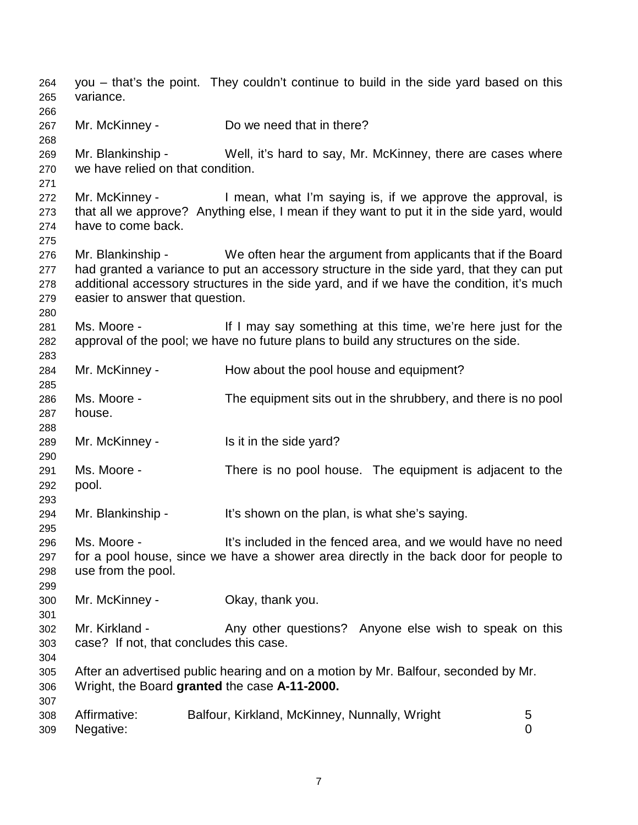264 you – that's the point. They couldn't continue to build in the side yard based on this 265 variance. 266 267 Mr. McKinney - Do we need that in there? 268 269 Mr. Blankinship - Well, it's hard to say, Mr. McKinney, there are cases where 270 we have relied on that condition. 271 272 Mr. McKinney - I mean, what I'm saying is, if we approve the approval, is 273 that all we approve? Anything else, I mean if they want to put it in the side yard, would 274 have to come back. 275 276 Mr. Blankinship - We often hear the argument from applicants that if the Board 277 had granted a variance to put an accessory structure in the side yard, that they can put 278 additional accessory structures in the side yard, and if we have the condition, it's much 279 easier to answer that question. 280 281 Ms. Moore - If I may say something at this time, we're here just for the 282 approval of the pool; we have no future plans to build any structures on the side. 283 284 Mr. McKinney - How about the pool house and equipment? 285 286 Ms. Moore - The equipment sits out in the shrubbery, and there is no pool 287 house. 288 289 Mr. McKinney - Is it in the side yard? 290 291 Ms. Moore - There is no pool house. The equipment is adjacent to the 292 pool. 293 294 Mr. Blankinship - It's shown on the plan, is what she's saying. 295 296 Ms. Moore - It's included in the fenced area, and we would have no need 297 for a pool house, since we have a shower area directly in the back door for people to 298 use from the pool. 299 300 Mr. McKinney - Okay, thank you. 301 302 Mr. Kirkland - Any other questions? Anyone else wish to speak on this 303 case? If not, that concludes this case. 304 305 After an advertised public hearing and on a motion by Mr. Balfour, seconded by Mr. 306 Wright, the Board **granted** the case **A-11-2000.** 307 308 Affirmative: Balfour, Kirkland, McKinney, Nunnally, Wright 5 309 Negative: 0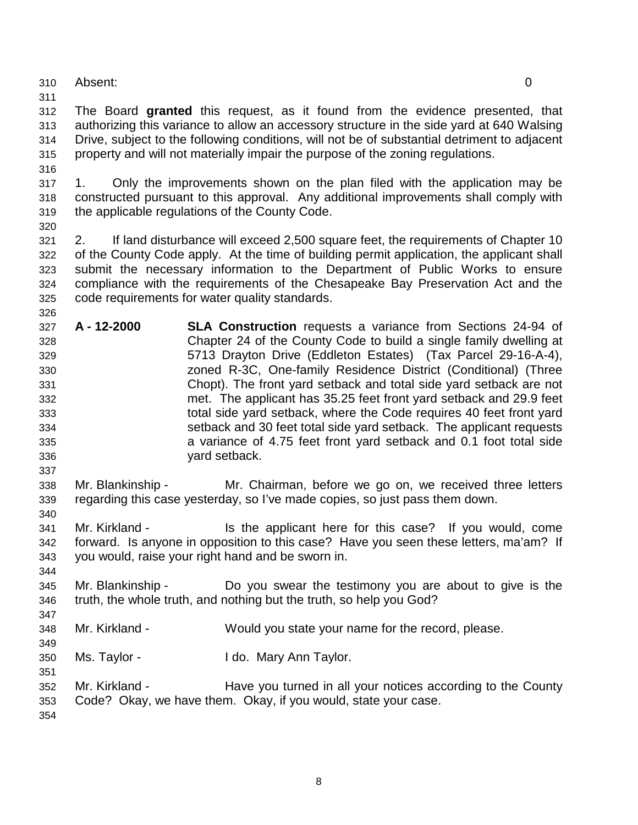- 310 Absent: 0
- 311

312 The Board **granted** this request, as it found from the evidence presented, that 313 authorizing this variance to allow an accessory structure in the side yard at 640 Walsing 314 Drive, subject to the following conditions, will not be of substantial detriment to adjacent 315 property and will not materially impair the purpose of the zoning regulations.

317 1. Only the improvements shown on the plan filed with the application may be 318 constructed pursuant to this approval. Any additional improvements shall comply with 319 the applicable regulations of the County Code.

320

326

337

340

344

347

349

316

321 2. If land disturbance will exceed 2,500 square feet, the requirements of Chapter 10 322 of the County Code apply. At the time of building permit application, the applicant shall 323 submit the necessary information to the Department of Public Works to ensure 324 compliance with the requirements of the Chesapeake Bay Preservation Act and the 325 code requirements for water quality standards.

- 327 **A 12-2000 SLA Construction** requests a variance from Sections 24-94 of 328 Chapter 24 of the County Code to build a single family dwelling at 329 5713 Drayton Drive (Eddleton Estates) (Tax Parcel 29-16-A-4), 330 zoned R-3C, One-family Residence District (Conditional) (Three 331 Chopt). The front yard setback and total side yard setback are not 332 met. The applicant has 35.25 feet front yard setback and 29.9 feet 333 total side yard setback, where the Code requires 40 feet front yard 334 setback and 30 feet total side yard setback. The applicant requests 335 a variance of 4.75 feet front yard setback and 0.1 foot total side 336 yard setback.
- 338 Mr. Blankinship Mr. Chairman, before we go on, we received three letters 339 regarding this case yesterday, so I've made copies, so just pass them down.
- 341 Mr. Kirkland Is the applicant here for this case? If you would, come 342 forward. Is anyone in opposition to this case? Have you seen these letters, ma'am? If 343 you would, raise your right hand and be sworn in.
- 345 Mr. Blankinship Do you swear the testimony you are about to give is the 346 truth, the whole truth, and nothing but the truth, so help you God?
- 348 Mr. Kirkland Would you state your name for the record, please.
- 350 Ms. Taylor I do. Mary Ann Taylor.
- 351 352 Mr. Kirkland - Have you turned in all your notices according to the County 353 Code? Okay, we have them. Okay, if you would, state your case. 354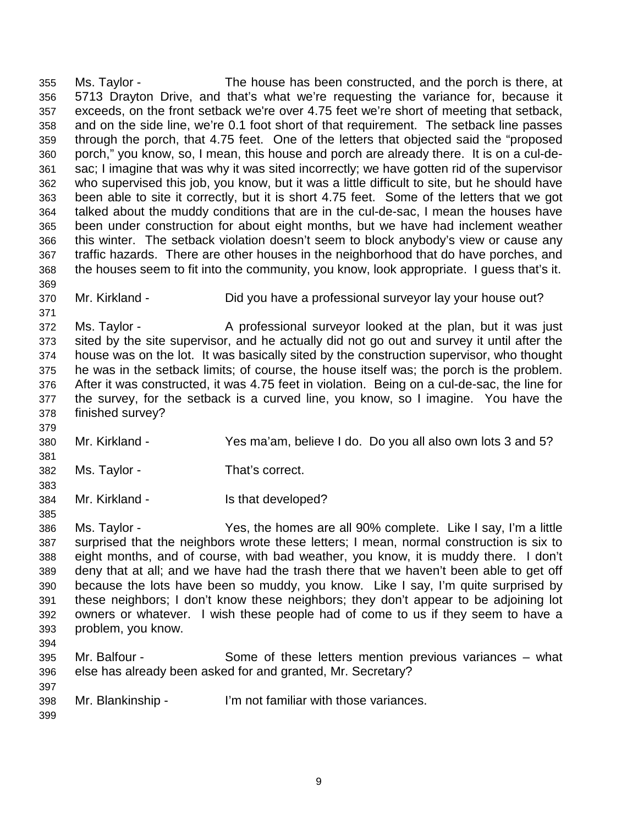355 Ms. Taylor - The house has been constructed, and the porch is there, at 356 5713 Drayton Drive, and that's what we're requesting the variance for, because it 357 exceeds, on the front setback we're over 4.75 feet we're short of meeting that setback, 358 and on the side line, we're 0.1 foot short of that requirement. The setback line passes 359 through the porch, that 4.75 feet. One of the letters that objected said the "proposed 360 porch," you know, so, I mean, this house and porch are already there. It is on a cul-de-361 sac; I imagine that was why it was sited incorrectly; we have gotten rid of the supervisor 362 who supervised this job, you know, but it was a little difficult to site, but he should have 363 been able to site it correctly, but it is short 4.75 feet. Some of the letters that we got 364 talked about the muddy conditions that are in the cul-de-sac, I mean the houses have 365 been under construction for about eight months, but we have had inclement weather 366 this winter. The setback violation doesn't seem to block anybody's view or cause any 367 traffic hazards. There are other houses in the neighborhood that do have porches, and 368 the houses seem to fit into the community, you know, look appropriate. I guess that's it. 369

- - 370 Mr. Kirkland Did you have a professional surveyor lay your house out?

372 Ms. Taylor - A professional surveyor looked at the plan, but it was just 373 sited by the site supervisor, and he actually did not go out and survey it until after the 374 house was on the lot. It was basically sited by the construction supervisor, who thought 375 he was in the setback limits; of course, the house itself was; the porch is the problem. 376 After it was constructed, it was 4.75 feet in violation. Being on a cul-de-sac, the line for 377 the survey, for the setback is a curved line, you know, so I imagine. You have the 378 finished survey?

- 380 Mr. Kirkland Yes ma'am, believe I do. Do you all also own lots 3 and 5?
- 382 Ms. Taylor That's correct.
- 384 Mr. Kirkland Is that developed?

386 Ms. Taylor - Yes, the homes are all 90% complete. Like I say, I'm a little 387 surprised that the neighbors wrote these letters; I mean, normal construction is six to 388 eight months, and of course, with bad weather, you know, it is muddy there. I don't 389 deny that at all; and we have had the trash there that we haven't been able to get off 390 because the lots have been so muddy, you know. Like I say, I'm quite surprised by 391 these neighbors; I don't know these neighbors; they don't appear to be adjoining lot 392 owners or whatever. I wish these people had of come to us if they seem to have a 393 problem, you know.

394

371

379

381

383

385

- 395 Mr. Balfour Some of these letters mention previous variances what 396 else has already been asked for and granted, Mr. Secretary?
- 398 Mr. Blankinship I'm not familiar with those variances.
- 399

397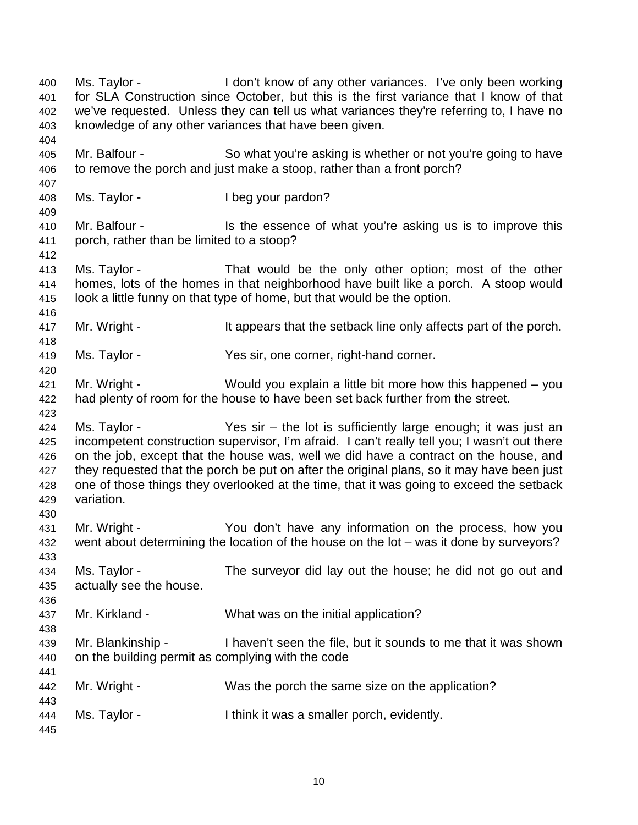400 Ms. Taylor - I don't know of any other variances. I've only been working 401 for SLA Construction since October, but this is the first variance that I know of that 402 we've requested. Unless they can tell us what variances they're referring to, I have no 403 knowledge of any other variances that have been given. 404 405 Mr. Balfour - So what you're asking is whether or not you're going to have 406 to remove the porch and just make a stoop, rather than a front porch? 407 408 Ms. Taylor - I beg your pardon? 409 410 Mr. Balfour - Is the essence of what you're asking us is to improve this 411 porch, rather than be limited to a stoop? 412 413 Ms. Taylor - That would be the only other option; most of the other 414 homes, lots of the homes in that neighborhood have built like a porch. A stoop would 415 look a little funny on that type of home, but that would be the option. 416 417 Mr. Wright - It appears that the setback line only affects part of the porch. 418 419 Ms. Taylor - Yes sir, one corner, right-hand corner. 420 421 Mr. Wright - Would you explain a little bit more how this happened – you 422 had plenty of room for the house to have been set back further from the street. 423 424 Ms. Taylor - Yes sir – the lot is sufficiently large enough; it was just an 425 incompetent construction supervisor, I'm afraid. I can't really tell you; I wasn't out there 426 on the job, except that the house was, well we did have a contract on the house, and 427 they requested that the porch be put on after the original plans, so it may have been just 428 one of those things they overlooked at the time, that it was going to exceed the setback 429 variation. 430 431 Mr. Wright - You don't have any information on the process, how you 432 went about determining the location of the house on the lot – was it done by surveyors? 433 434 Ms. Taylor - The surveyor did lay out the house; he did not go out and 435 actually see the house. 436 437 Mr. Kirkland - What was on the initial application? 438 439 Mr. Blankinship - I haven't seen the file, but it sounds to me that it was shown 440 on the building permit as complying with the code 441 442 Mr. Wright - Was the porch the same size on the application? 443 444 Ms. Taylor - I think it was a smaller porch, evidently. 445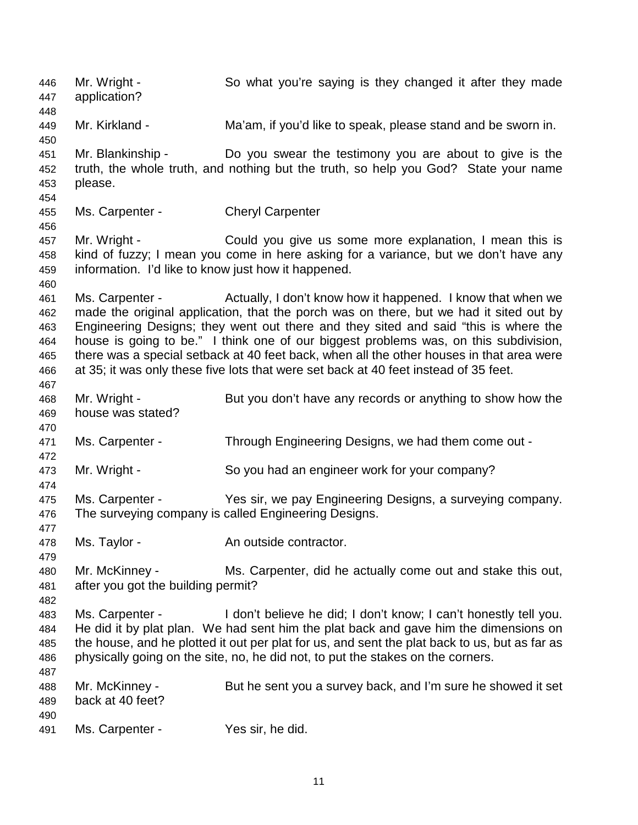446 Mr. Wright - So what you're saying is they changed it after they made 447 application? 448 449 Mr. Kirkland - Ma'am, if you'd like to speak, please stand and be sworn in. 450 451 Mr. Blankinship - Do you swear the testimony you are about to give is the 452 truth, the whole truth, and nothing but the truth, so help you God? State your name 453 please. 454 455 Ms. Carpenter - Cheryl Carpenter 456 457 Mr. Wright - Could you give us some more explanation, I mean this is 458 kind of fuzzy; I mean you come in here asking for a variance, but we don't have any 459 information. I'd like to know just how it happened. 460 461 Ms. Carpenter - Actually, I don't know how it happened. I know that when we 462 made the original application, that the porch was on there, but we had it sited out by 463 Engineering Designs; they went out there and they sited and said "this is where the 464 house is going to be." I think one of our biggest problems was, on this subdivision, 465 there was a special setback at 40 feet back, when all the other houses in that area were 466 at 35; it was only these five lots that were set back at 40 feet instead of 35 feet. 467 468 Mr. Wright - But you don't have any records or anything to show how the 469 house was stated? 470 471 Ms. Carpenter - Through Engineering Designs, we had them come out - 472 473 Mr. Wright - So you had an engineer work for your company? 474 475 Ms. Carpenter - Yes sir, we pay Engineering Designs, a surveying company. 476 The surveying company is called Engineering Designs. 477 478 Ms. Taylor - An outside contractor. 479 480 Mr. McKinney - Ms. Carpenter, did he actually come out and stake this out, 481 after you got the building permit? 482 483 Ms. Carpenter - I don't believe he did; I don't know; I can't honestly tell you. 484 He did it by plat plan. We had sent him the plat back and gave him the dimensions on 485 the house, and he plotted it out per plat for us, and sent the plat back to us, but as far as 486 physically going on the site, no, he did not, to put the stakes on the corners. 487 488 Mr. McKinney - But he sent you a survey back, and I'm sure he showed it set 489 back at 40 feet? 490 491 Ms. Carpenter - Yes sir, he did.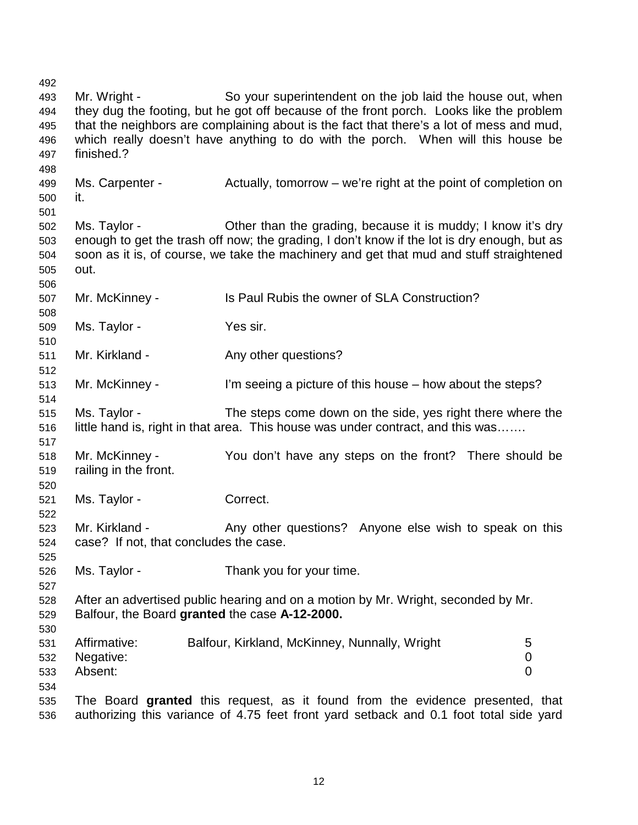492 493 Mr. Wright - So your superintendent on the job laid the house out, when 494 they dug the footing, but he got off because of the front porch. Looks like the problem 495 that the neighbors are complaining about is the fact that there's a lot of mess and mud, 496 which really doesn't have anything to do with the porch. When will this house be 497 finished.? 498 499 Ms. Carpenter - Actually, tomorrow – we're right at the point of completion on 500 it. 501 502 Ms. Taylor - Other than the grading, because it is muddy; I know it's dry 503 enough to get the trash off now; the grading, I don't know if the lot is dry enough, but as 504 soon as it is, of course, we take the machinery and get that mud and stuff straightened 505 out. 506 507 Mr. McKinney - Is Paul Rubis the owner of SLA Construction? 508 509 Ms. Taylor - Yes sir. 510 511 Mr. Kirkland - Any other questions? 512 513 Mr. McKinney - I'm seeing a picture of this house – how about the steps? 514 515 Ms. Taylor - The steps come down on the side, yes right there where the 516 little hand is, right in that area. This house was under contract, and this was……. 517 518 Mr. McKinney - You don't have any steps on the front? There should be 519 railing in the front. 520 521 Ms. Taylor - Correct. 522 523 Mr. Kirkland - Any other questions? Anyone else wish to speak on this 524 case? If not, that concludes the case. 525 526 Ms. Taylor - Thank you for your time. 527 528 After an advertised public hearing and on a motion by Mr. Wright, seconded by Mr. 529 Balfour, the Board **granted** the case **A-12-2000.** 530 531 Affirmative: Balfour, Kirkland, McKinney, Nunnally, Wright 5 532 Negative: 0 533 Absent: 0 534 535 The Board **granted** this request, as it found from the evidence presented, that 536 authorizing this variance of 4.75 feet front yard setback and 0.1 foot total side yard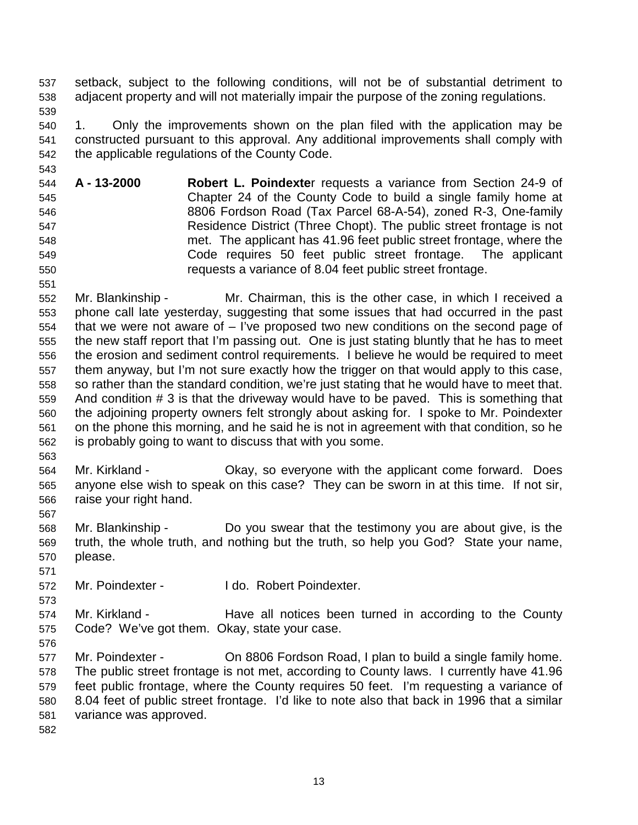537 setback, subject to the following conditions, will not be of substantial detriment to 538 adjacent property and will not materially impair the purpose of the zoning regulations. 539

540 1. Only the improvements shown on the plan filed with the application may be 541 constructed pursuant to this approval. Any additional improvements shall comply with 542 the applicable regulations of the County Code.

544 **A - 13-2000 Robert L. Poindexte**r requests a variance from Section 24-9 of 545 Chapter 24 of the County Code to build a single family home at 546 8806 Fordson Road (Tax Parcel 68-A-54), zoned R-3, One-family 547 Residence District (Three Chopt). The public street frontage is not 548 met. The applicant has 41.96 feet public street frontage, where the 549 Code requires 50 feet public street frontage. The applicant 550 requests a variance of 8.04 feet public street frontage.

552 Mr. Blankinship - Mr. Chairman, this is the other case, in which I received a 553 phone call late yesterday, suggesting that some issues that had occurred in the past 554 that we were not aware of – I've proposed two new conditions on the second page of 555 the new staff report that I'm passing out. One is just stating bluntly that he has to meet 556 the erosion and sediment control requirements. I believe he would be required to meet 557 them anyway, but I'm not sure exactly how the trigger on that would apply to this case, 558 so rather than the standard condition, we're just stating that he would have to meet that. 559 And condition # 3 is that the driveway would have to be paved. This is something that 560 the adjoining property owners felt strongly about asking for. I spoke to Mr. Poindexter 561 on the phone this morning, and he said he is not in agreement with that condition, so he 562 is probably going to want to discuss that with you some.

563

567

571

573

576

543

551

564 Mr. Kirkland - Okay, so everyone with the applicant come forward. Does 565 anyone else wish to speak on this case? They can be sworn in at this time. If not sir, 566 raise your right hand.

568 Mr. Blankinship - Do you swear that the testimony you are about give, is the 569 truth, the whole truth, and nothing but the truth, so help you God? State your name, 570 please.

572 Mr. Poindexter - I do. Robert Poindexter.

574 Mr. Kirkland - Have all notices been turned in according to the County 575 Code? We've got them. Okay, state your case.

577 Mr. Poindexter - On 8806 Fordson Road, I plan to build a single family home. 578 The public street frontage is not met, according to County laws. I currently have 41.96 579 feet public frontage, where the County requires 50 feet. I'm requesting a variance of 580 8.04 feet of public street frontage. I'd like to note also that back in 1996 that a similar 581 variance was approved.

582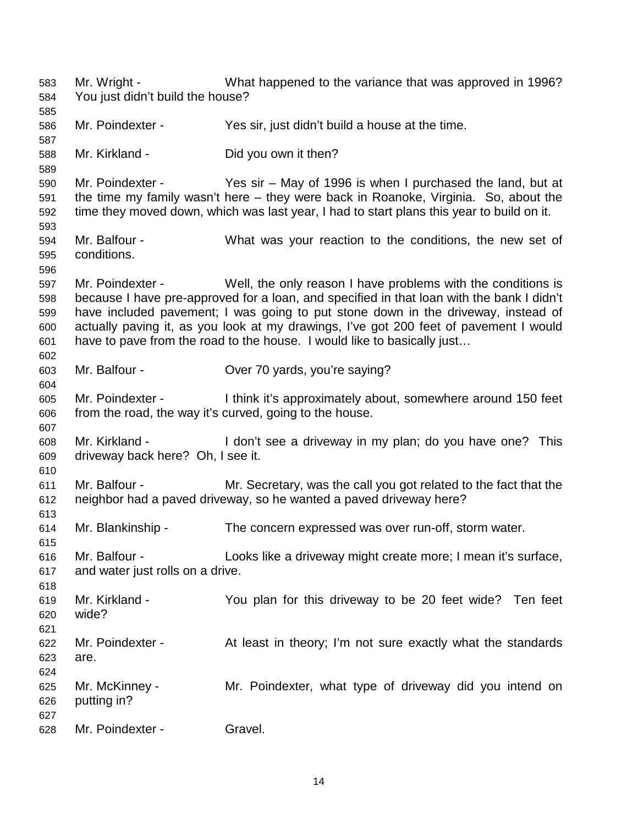583 Mr. Wright - What happened to the variance that was approved in 1996? 584 You just didn't build the house? 585 586 Mr. Poindexter - Yes sir, just didn't build a house at the time. 587 588 Mr. Kirkland - Did you own it then? 589 590 Mr. Poindexter - Yes sir – May of 1996 is when I purchased the land, but at 591 the time my family wasn't here – they were back in Roanoke, Virginia. So, about the 592 time they moved down, which was last year, I had to start plans this year to build on it. 593 594 Mr. Balfour - What was your reaction to the conditions, the new set of 595 conditions. 596 597 Mr. Poindexter - Well, the only reason I have problems with the conditions is 598 because I have pre-approved for a loan, and specified in that loan with the bank I didn't 599 have included pavement; I was going to put stone down in the driveway, instead of 600 actually paving it, as you look at my drawings, I've got 200 feet of pavement I would 601 have to pave from the road to the house. I would like to basically just… 602 603 Mr. Balfour - Over 70 yards, you're saying? 604 605 Mr. Poindexter - I think it's approximately about, somewhere around 150 feet 606 from the road, the way it's curved, going to the house. 607 608 Mr. Kirkland - I don't see a driveway in my plan; do you have one? This 609 driveway back here? Oh, I see it. 610 611 Mr. Balfour - Mr. Secretary, was the call you got related to the fact that the 612 neighbor had a paved driveway, so he wanted a paved driveway here? 613 614 Mr. Blankinship - The concern expressed was over run-off, storm water. 615 616 Mr. Balfour - Looks like a driveway might create more; I mean it's surface, 617 and water just rolls on a drive. 618 619 Mr. Kirkland - You plan for this driveway to be 20 feet wide? Ten feet 620 wide? 621 622 Mr. Poindexter - At least in theory; I'm not sure exactly what the standards 623 are. 624 625 Mr. McKinney - Mr. Poindexter, what type of driveway did you intend on 626 putting in? 627 628 Mr. Poindexter - Gravel.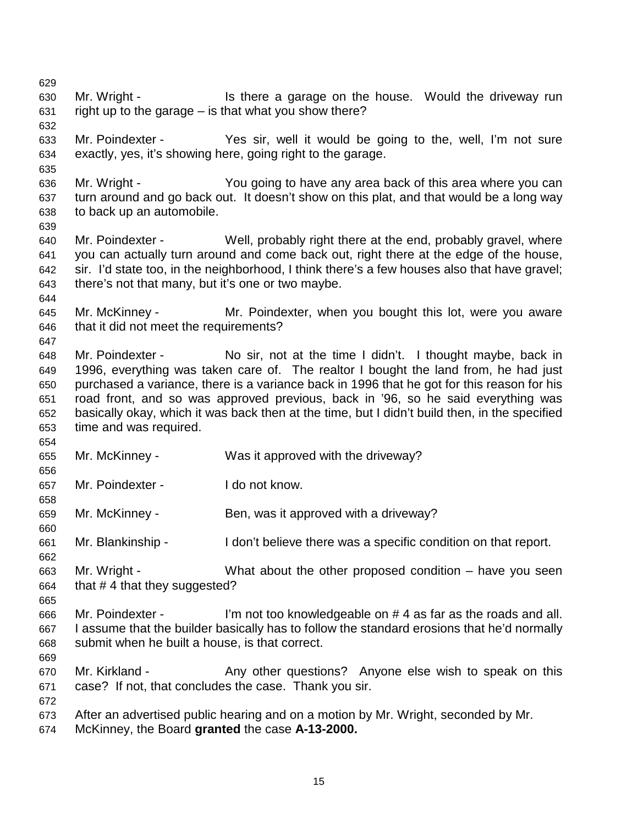629 630 Mr. Wright - Is there a garage on the house. Would the driveway run 631 right up to the garage – is that what you show there? 632 633 Mr. Poindexter - Yes sir, well it would be going to the, well, I'm not sure 634 exactly, yes, it's showing here, going right to the garage. 635 636 Mr. Wright - You going to have any area back of this area where you can 637 turn around and go back out. It doesn't show on this plat, and that would be a long way 638 to back up an automobile. 639 640 Mr. Poindexter - Well, probably right there at the end, probably gravel, where 641 you can actually turn around and come back out, right there at the edge of the house, 642 sir. I'd state too, in the neighborhood, I think there's a few houses also that have gravel; 643 there's not that many, but it's one or two maybe. 644 645 Mr. McKinney - Mr. Poindexter, when you bought this lot, were you aware 646 that it did not meet the requirements? 647 648 Mr. Poindexter - No sir, not at the time I didn't. I thought maybe, back in 649 1996, everything was taken care of. The realtor I bought the land from, he had just 650 purchased a variance, there is a variance back in 1996 that he got for this reason for his 651 road front, and so was approved previous, back in '96, so he said everything was 652 basically okay, which it was back then at the time, but I didn't build then, in the specified 653 time and was required. 654 655 Mr. McKinney - Was it approved with the driveway? 656 657 Mr. Poindexter - I do not know. 658 659 Mr. McKinney - Ben, was it approved with a driveway? 660 661 Mr. Blankinship - I don't believe there was a specific condition on that report. 662 663 Mr. Wright - What about the other proposed condition – have you seen 664 that  $# 4$  that they suggested? 665 666 Mr. Poindexter - I'm not too knowledgeable on # 4 as far as the roads and all. 667 I assume that the builder basically has to follow the standard erosions that he'd normally 668 submit when he built a house, is that correct. 669 670 Mr. Kirkland - Any other questions? Anyone else wish to speak on this 671 case? If not, that concludes the case. Thank you sir. 672 673 After an advertised public hearing and on a motion by Mr. Wright, seconded by Mr. 674 McKinney, the Board **granted** the case **A-13-2000.**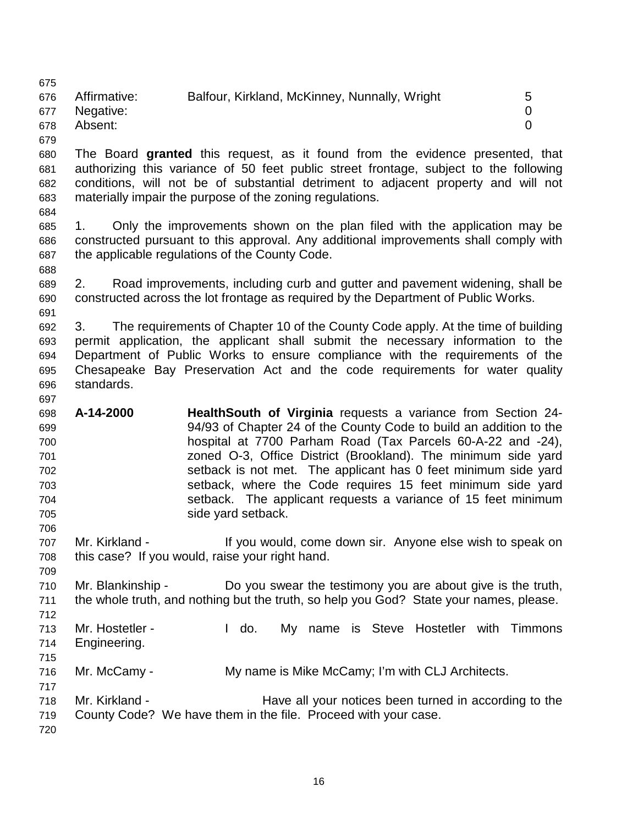675 676 Affirmative: Balfour, Kirkland, McKinney, Nunnally, Wright 5 677 Negative: 0 678 Absent: 0

679

680 The Board **granted** this request, as it found from the evidence presented, that 681 authorizing this variance of 50 feet public street frontage, subject to the following 682 conditions, will not be of substantial detriment to adjacent property and will not 683 materially impair the purpose of the zoning regulations.

684

688

697

706

709

712

685 1. Only the improvements shown on the plan filed with the application may be 686 constructed pursuant to this approval. Any additional improvements shall comply with 687 the applicable regulations of the County Code.

689 2. Road improvements, including curb and gutter and pavement widening, shall be 690 constructed across the lot frontage as required by the Department of Public Works. 691

692 3. The requirements of Chapter 10 of the County Code apply. At the time of building 693 permit application, the applicant shall submit the necessary information to the 694 Department of Public Works to ensure compliance with the requirements of the 695 Chesapeake Bay Preservation Act and the code requirements for water quality 696 standards.

698 **A-14-2000 HealthSouth of Virginia** requests a variance from Section 24- 699 94/93 of Chapter 24 of the County Code to build an addition to the 700 hospital at 7700 Parham Road (Tax Parcels 60-A-22 and -24), 701 zoned O-3, Office District (Brookland). The minimum side yard 702 setback is not met. The applicant has 0 feet minimum side yard 703 setback, where the Code requires 15 feet minimum side yard 704 setback. The applicant requests a variance of 15 feet minimum 705 side yard setback.

707 Mr. Kirkland - If you would, come down sir. Anyone else wish to speak on 708 this case? If you would, raise your right hand.

710 Mr. Blankinship - Do you swear the testimony you are about give is the truth, 711 the whole truth, and nothing but the truth, so help you God? State your names, please.

713 Mr. Hostetler - I do. My name is Steve Hostetler with Timmons 714 Engineering.

715

717

716 Mr. McCamy - My name is Mike McCamy; I'm with CLJ Architects.

718 Mr. Kirkland - Have all your notices been turned in according to the 719 County Code? We have them in the file. Proceed with your case.

720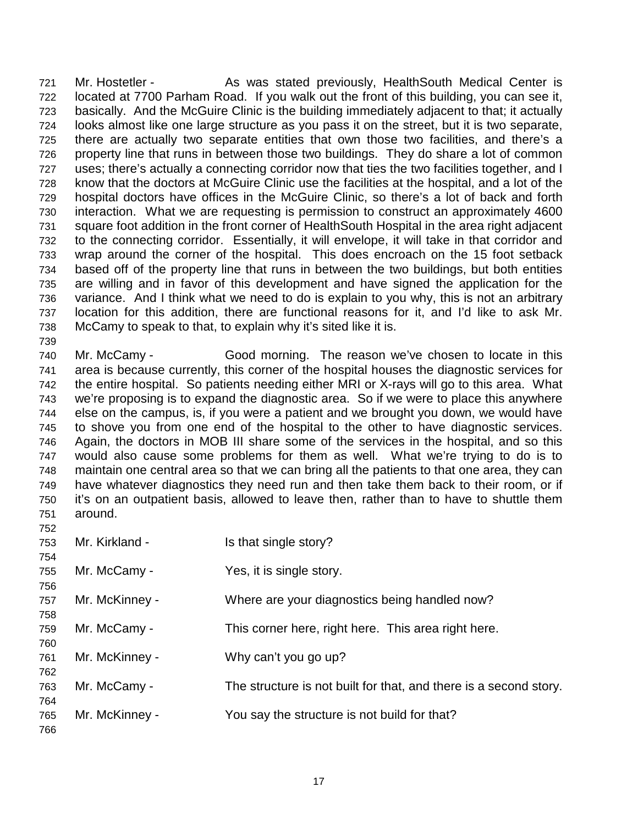721 Mr. Hostetler - As was stated previously, HealthSouth Medical Center is 722 located at 7700 Parham Road. If you walk out the front of this building, you can see it, 723 basically. And the McGuire Clinic is the building immediately adjacent to that; it actually 724 looks almost like one large structure as you pass it on the street, but it is two separate, 725 there are actually two separate entities that own those two facilities, and there's a 726 property line that runs in between those two buildings. They do share a lot of common 727 uses; there's actually a connecting corridor now that ties the two facilities together, and I 728 know that the doctors at McGuire Clinic use the facilities at the hospital, and a lot of the 729 hospital doctors have offices in the McGuire Clinic, so there's a lot of back and forth 730 interaction. What we are requesting is permission to construct an approximately 4600 731 square foot addition in the front corner of HealthSouth Hospital in the area right adjacent 732 to the connecting corridor. Essentially, it will envelope, it will take in that corridor and 733 wrap around the corner of the hospital. This does encroach on the 15 foot setback 734 based off of the property line that runs in between the two buildings, but both entities 735 are willing and in favor of this development and have signed the application for the 736 variance. And I think what we need to do is explain to you why, this is not an arbitrary 737 location for this addition, there are functional reasons for it, and I'd like to ask Mr. 738 McCamy to speak to that, to explain why it's sited like it is.

740 Mr. McCamy - Good morning. The reason we've chosen to locate in this 741 area is because currently, this corner of the hospital houses the diagnostic services for 742 the entire hospital. So patients needing either MRI or X-rays will go to this area. What 743 we're proposing is to expand the diagnostic area. So if we were to place this anywhere 744 else on the campus, is, if you were a patient and we brought you down, we would have 745 to shove you from one end of the hospital to the other to have diagnostic services. 746 Again, the doctors in MOB III share some of the services in the hospital, and so this 747 would also cause some problems for them as well. What we're trying to do is to 748 maintain one central area so that we can bring all the patients to that one area, they can 749 have whatever diagnostics they need run and then take them back to their room, or if 750 it's on an outpatient basis, allowed to leave then, rather than to have to shuttle them 751 around.

739

| 752 |                |                                                                   |
|-----|----------------|-------------------------------------------------------------------|
| 753 | Mr. Kirkland - | Is that single story?                                             |
| 754 |                |                                                                   |
| 755 | Mr. McCamy -   | Yes, it is single story.                                          |
| 756 |                |                                                                   |
| 757 | Mr. McKinney - | Where are your diagnostics being handled now?                     |
| 758 |                |                                                                   |
| 759 | Mr. McCamy -   | This corner here, right here. This area right here.               |
| 760 |                |                                                                   |
| 761 | Mr. McKinney - | Why can't you go up?                                              |
| 762 |                |                                                                   |
| 763 | Mr. McCamy -   | The structure is not built for that, and there is a second story. |
| 764 |                |                                                                   |
| 765 | Mr. McKinney - | You say the structure is not build for that?                      |
| 766 |                |                                                                   |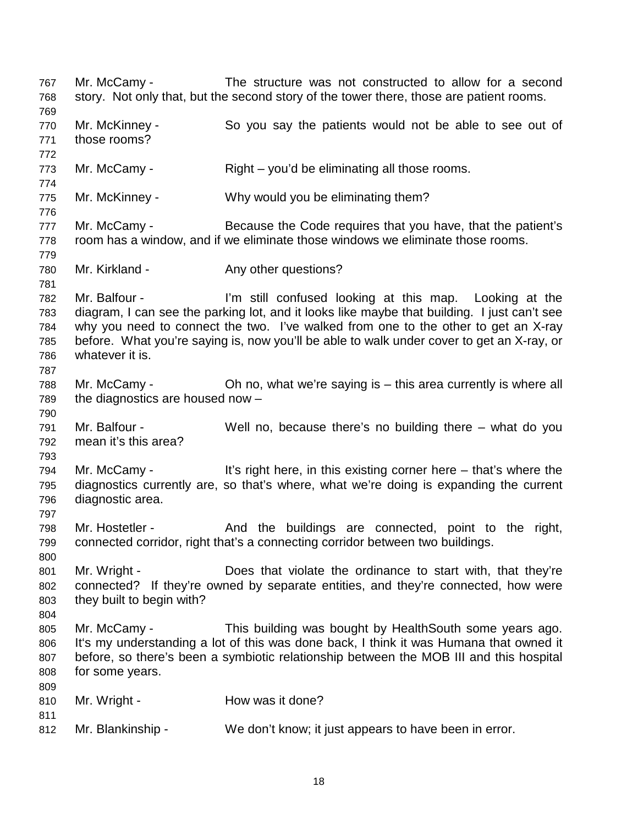767 Mr. McCamy - The structure was not constructed to allow for a second 768 story. Not only that, but the second story of the tower there, those are patient rooms. 769 770 Mr. McKinney - So you say the patients would not be able to see out of 771 those rooms? 772 773 Mr. McCamy - Right – you'd be eliminating all those rooms. 774 775 Mr. McKinney - Why would you be eliminating them? 776 777 Mr. McCamy - Because the Code requires that you have, that the patient's 778 room has a window, and if we eliminate those windows we eliminate those rooms. 779 780 Mr. Kirkland - Any other questions? 781 782 Mr. Balfour - I'm still confused looking at this map. Looking at the 783 diagram, I can see the parking lot, and it looks like maybe that building. I just can't see 784 why you need to connect the two. I've walked from one to the other to get an X-ray 785 before. What you're saying is, now you'll be able to walk under cover to get an X-ray, or 786 whatever it is. 787 788 Mr. McCamy - Oh no, what we're saying is – this area currently is where all 789 the diagnostics are housed now – 790 791 Mr. Balfour - Well no, because there's no building there – what do you 792 mean it's this area? 793 794 Mr. McCamy - It's right here, in this existing corner here – that's where the 795 diagnostics currently are, so that's where, what we're doing is expanding the current 796 diagnostic area. 797 798 Mr. Hostetler - And the buildings are connected, point to the right, 799 connected corridor, right that's a connecting corridor between two buildings. 800 801 Mr. Wright - Does that violate the ordinance to start with, that they're 802 connected? If they're owned by separate entities, and they're connected, how were 803 they built to begin with? 804 805 Mr. McCamy - This building was bought by HealthSouth some years ago. 806 It's my understanding a lot of this was done back, I think it was Humana that owned it 807 before, so there's been a symbiotic relationship between the MOB III and this hospital 808 for some years. 809 810 Mr. Wright - How was it done? 811 812 Mr. Blankinship - We don't know; it just appears to have been in error.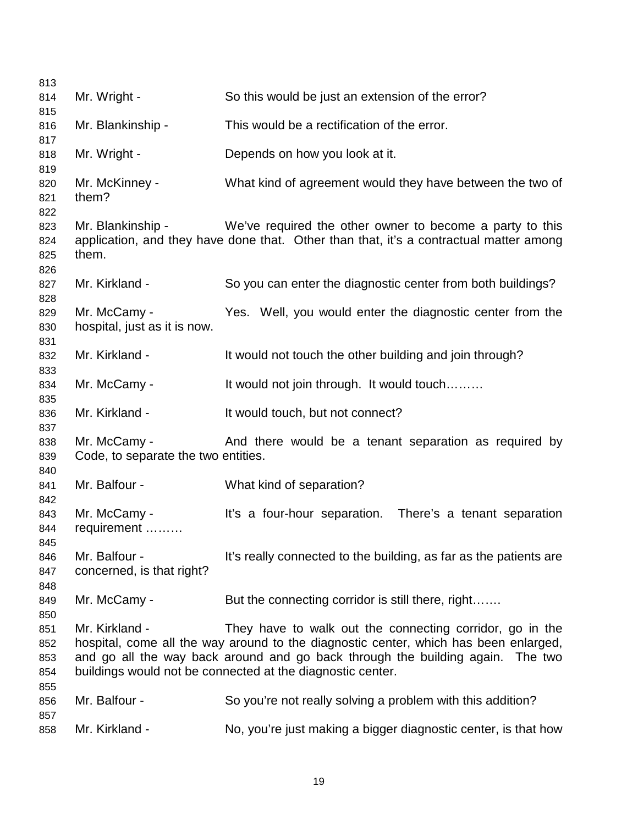| 813        |                                     |                                                                                                                                                    |
|------------|-------------------------------------|----------------------------------------------------------------------------------------------------------------------------------------------------|
| 814        | Mr. Wright -                        | So this would be just an extension of the error?                                                                                                   |
| 815        |                                     |                                                                                                                                                    |
| 816        | Mr. Blankinship -                   | This would be a rectification of the error.                                                                                                        |
| 817        |                                     |                                                                                                                                                    |
| 818        | Mr. Wright -                        | Depends on how you look at it.                                                                                                                     |
| 819        |                                     |                                                                                                                                                    |
| 820        | Mr. McKinney -                      | What kind of agreement would they have between the two of                                                                                          |
| 821        | them?                               |                                                                                                                                                    |
| 822        |                                     |                                                                                                                                                    |
| 823<br>824 | Mr. Blankinship -                   | We've required the other owner to become a party to this<br>application, and they have done that. Other than that, it's a contractual matter among |
| 825        | them.                               |                                                                                                                                                    |
| 826        |                                     |                                                                                                                                                    |
| 827        | Mr. Kirkland -                      | So you can enter the diagnostic center from both buildings?                                                                                        |
| 828        |                                     |                                                                                                                                                    |
| 829        | Mr. McCamy -                        | Yes. Well, you would enter the diagnostic center from the                                                                                          |
| 830        | hospital, just as it is now.        |                                                                                                                                                    |
| 831        |                                     |                                                                                                                                                    |
| 832        | Mr. Kirkland -                      | It would not touch the other building and join through?                                                                                            |
| 833        |                                     |                                                                                                                                                    |
| 834        | Mr. McCamy -                        | It would not join through. It would touch                                                                                                          |
| 835        |                                     |                                                                                                                                                    |
| 836        | Mr. Kirkland -                      | It would touch, but not connect?                                                                                                                   |
| 837        |                                     |                                                                                                                                                    |
| 838        | Mr. McCamy -                        | And there would be a tenant separation as required by                                                                                              |
| 839        | Code, to separate the two entities. |                                                                                                                                                    |
| 840        |                                     |                                                                                                                                                    |
| 841        | Mr. Balfour -                       | What kind of separation?                                                                                                                           |
| 842        |                                     |                                                                                                                                                    |
| 843        | Mr. McCamy -                        | It's a four-hour separation. There's a tenant separation                                                                                           |
| 844        | requirement                         |                                                                                                                                                    |
| 845        |                                     |                                                                                                                                                    |
| 846        | Mr. Balfour -                       | It's really connected to the building, as far as the patients are                                                                                  |
| 847        | concerned, is that right?           |                                                                                                                                                    |
| 848        |                                     |                                                                                                                                                    |
| 849        | Mr. McCamy -                        | But the connecting corridor is still there, right                                                                                                  |
| 850        |                                     |                                                                                                                                                    |
| 851        | Mr. Kirkland -                      | They have to walk out the connecting corridor, go in the                                                                                           |
| 852        |                                     | hospital, come all the way around to the diagnostic center, which has been enlarged,                                                               |
| 853        |                                     | and go all the way back around and go back through the building again. The two                                                                     |
| 854<br>855 |                                     | buildings would not be connected at the diagnostic center.                                                                                         |
| 856        | Mr. Balfour -                       | So you're not really solving a problem with this addition?                                                                                         |
| 857        |                                     |                                                                                                                                                    |
| 858        | Mr. Kirkland -                      | No, you're just making a bigger diagnostic center, is that how                                                                                     |
|            |                                     |                                                                                                                                                    |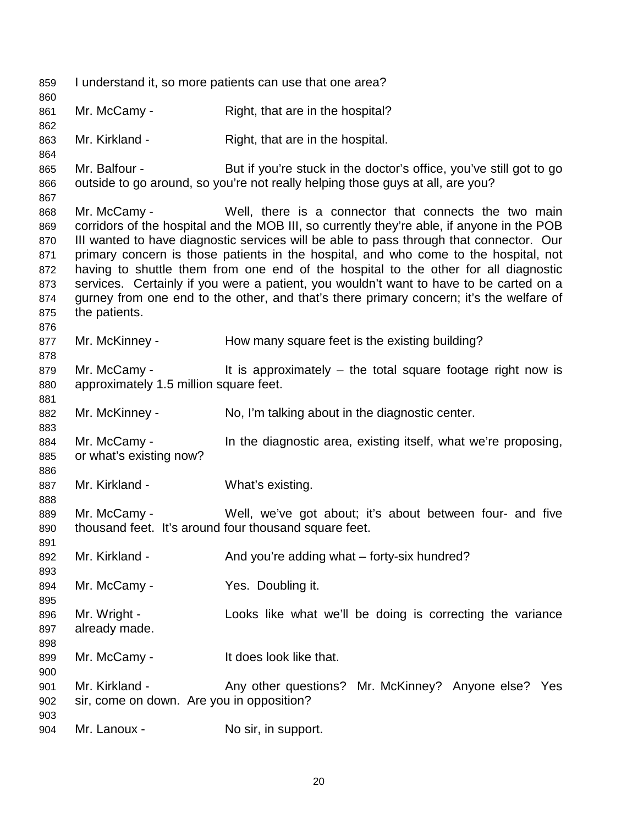859 I understand it, so more patients can use that one area? 860 861 Mr. McCamy - Right, that are in the hospital? 862 863 Mr. Kirkland - Right, that are in the hospital. 864 865 Mr. Balfour - But if you're stuck in the doctor's office, you've still got to go 866 outside to go around, so you're not really helping those guys at all, are you? 867 868 Mr. McCamy - Well, there is a connector that connects the two main 869 corridors of the hospital and the MOB III, so currently they're able, if anyone in the POB 870 III wanted to have diagnostic services will be able to pass through that connector. Our 871 primary concern is those patients in the hospital, and who come to the hospital, not 872 having to shuttle them from one end of the hospital to the other for all diagnostic 873 services. Certainly if you were a patient, you wouldn't want to have to be carted on a 874 gurney from one end to the other, and that's there primary concern; it's the welfare of 875 the patients. 876 877 Mr. McKinney - How many square feet is the existing building? 878 879 Mr. McCamy - It is approximately – the total square footage right now is 880 approximately 1.5 million square feet. 881 882 Mr. McKinney - No, I'm talking about in the diagnostic center. 883 884 Mr. McCamy - In the diagnostic area, existing itself, what we're proposing, 885 or what's existing now? 886 887 Mr. Kirkland - What's existing. 888 889 Mr. McCamy - Well, we've got about; it's about between four- and five 890 thousand feet. It's around four thousand square feet. 891 892 Mr. Kirkland - And you're adding what – forty-six hundred? 893 894 Mr. McCamy - Yes. Doubling it. 895 896 Mr. Wright - Looks like what we'll be doing is correcting the variance 897 already made. 898 899 Mr. McCamy - It does look like that. 900 901 Mr. Kirkland - Any other questions? Mr. McKinney? Anyone else? Yes 902 sir, come on down. Are you in opposition? 903 904 Mr. Lanoux - No sir, in support.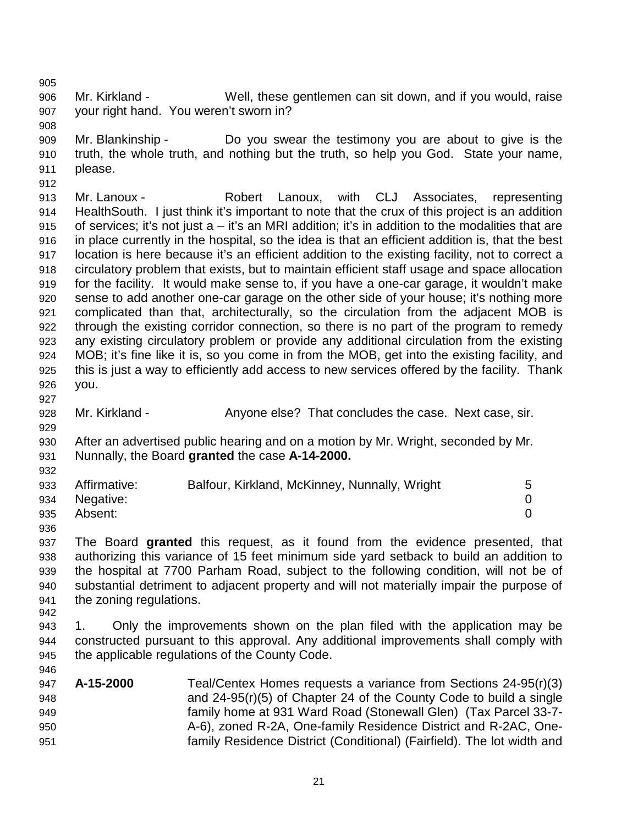905

906 Mr. Kirkland - Well, these gentlemen can sit down, and if you would, raise 907 your right hand. You weren't sworn in?

908 909 Mr. Blankinship - Do you swear the testimony you are about to give is the 910 truth, the whole truth, and nothing but the truth, so help you God. State your name, 911 please.

912 913 Mr. Lanoux - Robert Lanoux, with CLJ Associates, representing 914 HealthSouth. I just think it's important to note that the crux of this project is an addition 915 of services; it's not just a – it's an MRI addition; it's in addition to the modalities that are 916 in place currently in the hospital, so the idea is that an efficient addition is, that the best 917 location is here because it's an efficient addition to the existing facility, not to correct a 918 circulatory problem that exists, but to maintain efficient staff usage and space allocation 919 for the facility. It would make sense to, if you have a one-car garage, it wouldn't make 920 sense to add another one-car garage on the other side of your house; it's nothing more 921 complicated than that, architecturally, so the circulation from the adjacent MOB is 922 through the existing corridor connection, so there is no part of the program to remedy 923 any existing circulatory problem or provide any additional circulation from the existing 924 MOB; it's fine like it is, so you come in from the MOB, get into the existing facility, and 925 this is just a way to efficiently add access to new services offered by the facility. Thank 926 you.

- 
- 927

929

932

936

928 Mr. Kirkland - Anyone else? That concludes the case. Next case, sir.

930 After an advertised public hearing and on a motion by Mr. Wright, seconded by Mr. 931 Nunnally, the Board **granted** the case **A-14-2000.**

| 933 | Affirmative:  | Balfour, Kirkland, McKinney, Nunnally, Wright |  |
|-----|---------------|-----------------------------------------------|--|
|     | 934 Negative: |                                               |  |
| 935 | Absent:       |                                               |  |

937 The Board **granted** this request, as it found from the evidence presented, that 938 authorizing this variance of 15 feet minimum side yard setback to build an addition to 939 the hospital at 7700 Parham Road, subject to the following condition, will not be of 940 substantial detriment to adjacent property and will not materially impair the purpose of 941 the zoning regulations. 942

943 1. Only the improvements shown on the plan filed with the application may be 944 constructed pursuant to this approval. Any additional improvements shall comply with 945 the applicable regulations of the County Code. 946

| 947 | A-15-2000 | Teal/Centex Homes requests a variance from Sections $24-95(r)(3)$      |
|-----|-----------|------------------------------------------------------------------------|
| 948 |           | and 24-95(r)(5) of Chapter 24 of the County Code to build a single     |
| 949 |           | family home at 931 Ward Road (Stonewall Glen) (Tax Parcel 33-7-        |
| 950 |           | A-6), zoned R-2A, One-family Residence District and R-2AC, One-        |
| 951 |           | family Residence District (Conditional) (Fairfield). The lot width and |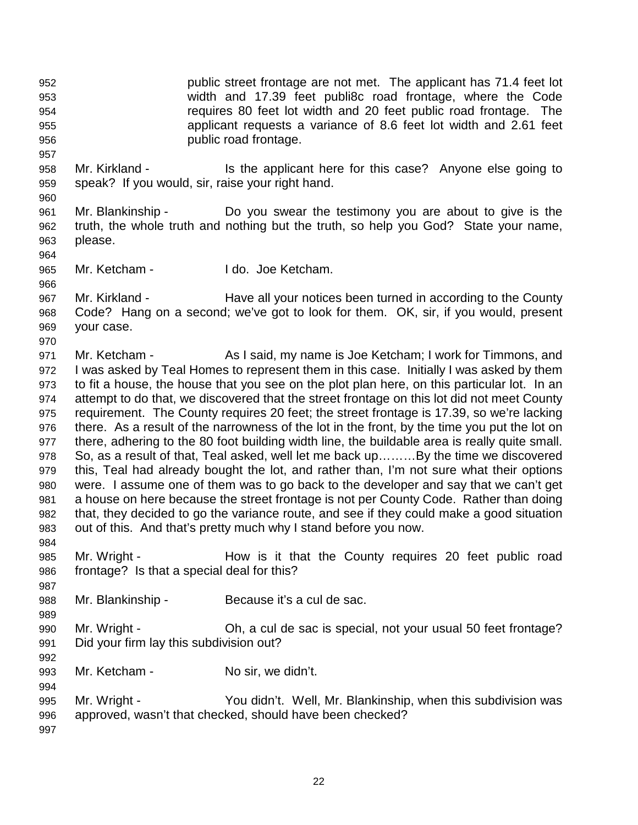952 public street frontage are not met. The applicant has 71.4 feet lot 953 width and 17.39 feet publi8c road frontage, where the Code 954 requires 80 feet lot width and 20 feet public road frontage. The 955 applicant requests a variance of 8.6 feet lot width and 2.61 feet 956 public road frontage.

- 958 Mr. Kirkland Is the applicant here for this case? Anyone else going to 959 speak? If you would, sir, raise your right hand.
- 961 Mr. Blankinship Do you swear the testimony you are about to give is the 962 truth, the whole truth and nothing but the truth, so help you God? State your name, 963 please.
- 965 Mr. Ketcham I do. Joe Ketcham.

967 Mr. Kirkland - Have all your notices been turned in according to the County 968 Code? Hang on a second; we've got to look for them. OK, sir, if you would, present 969 your case.

- 971 Mr. Ketcham As I said, my name is Joe Ketcham; I work for Timmons, and 972 I was asked by Teal Homes to represent them in this case. Initially I was asked by them 973 to fit a house, the house that you see on the plot plan here, on this particular lot. In an 974 attempt to do that, we discovered that the street frontage on this lot did not meet County 975 requirement. The County requires 20 feet; the street frontage is 17.39, so we're lacking 976 there. As a result of the narrowness of the lot in the front, by the time you put the lot on 977 there, adhering to the 80 foot building width line, the buildable area is really quite small. 978 So, as a result of that, Teal asked, well let me back up………By the time we discovered 979 this, Teal had already bought the lot, and rather than, I'm not sure what their options 980 were. I assume one of them was to go back to the developer and say that we can't get 981 a house on here because the street frontage is not per County Code. Rather than doing 982 that, they decided to go the variance route, and see if they could make a good situation 983 out of this. And that's pretty much why I stand before you now.
- 984 985 Mr. Wright - How is it that the County requires 20 feet public road 986 frontage? Is that a special deal for this?
- 988 Mr. Blankinship Because it's a cul de sac.
- 990 Mr. Wright Oh, a cul de sac is special, not your usual 50 feet frontage? 991 Did your firm lay this subdivision out?
- 993 Mr. Ketcham No sir, we didn't.
- 995 Mr. Wright You didn't. Well, Mr. Blankinship, when this subdivision was 996 approved, wasn't that checked, should have been checked?
- 997

987

989

992

994

957

960

964

966

970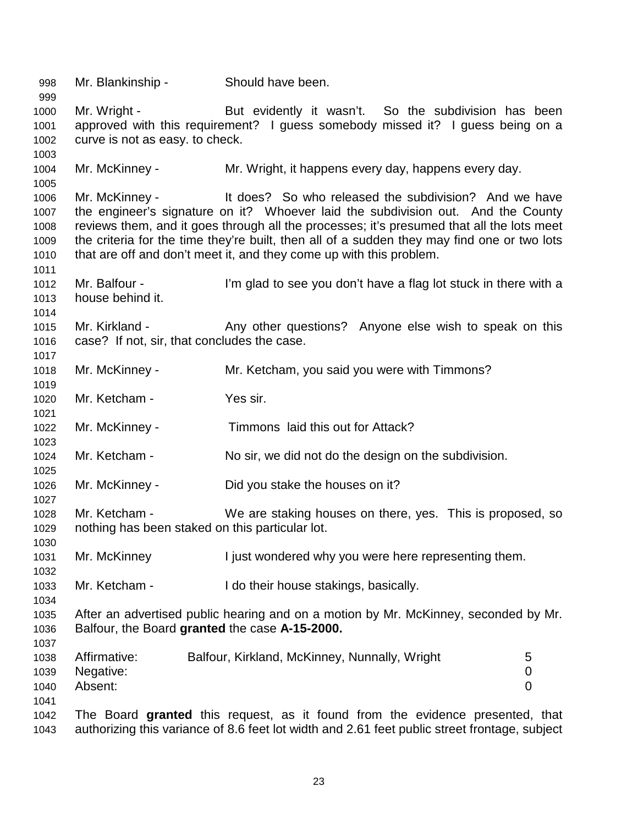998 Mr. Blankinship - Should have been. 999 1000 Mr. Wright - But evidently it wasn't. So the subdivision has been 1001 approved with this requirement? I guess somebody missed it? I guess being on a 1002 curve is not as easy. to check. 1003 1004 Mr. McKinney - Mr. Wright, it happens every day, happens every day. 1005 1006 Mr. McKinney - It does? So who released the subdivision? And we have 1007 the engineer's signature on it? Whoever laid the subdivision out. And the County 1008 reviews them, and it goes through all the processes; it's presumed that all the lots meet 1009 the criteria for the time they're built, then all of a sudden they may find one or two lots 1010 that are off and don't meet it, and they come up with this problem. 1011 1012 Mr. Balfour - I'm glad to see you don't have a flag lot stuck in there with a 1013 house behind it. 1014 1015 Mr. Kirkland - Any other questions? Anyone else wish to speak on this 1016 case? If not, sir, that concludes the case. 1017 1018 Mr. McKinney - Mr. Ketcham, you said you were with Timmons? 1019 1020 Mr. Ketcham - Yes sir. 1021 1022 Mr. McKinney - Timmons laid this out for Attack? 1023 1024 Mr. Ketcham - No sir, we did not do the design on the subdivision. 1025 1026 Mr. McKinney - Did you stake the houses on it? 1027 1028 Mr. Ketcham - We are staking houses on there, yes. This is proposed, so 1029 nothing has been staked on this particular lot. 1030 1031 Mr. McKinney I just wondered why you were here representing them. 1032 1033 Mr. Ketcham - I do their house stakings, basically. 1034 1035 After an advertised public hearing and on a motion by Mr. McKinney, seconded by Mr. 1036 Balfour, the Board **granted** the case **A-15-2000.** 1037 1038 Affirmative: Balfour, Kirkland, McKinney, Nunnally, Wright 5 1039 Negative: 0 1040 Absent: 0 1041 1042 The Board **granted** this request, as it found from the evidence presented, that 1043 authorizing this variance of 8.6 feet lot width and 2.61 feet public street frontage, subject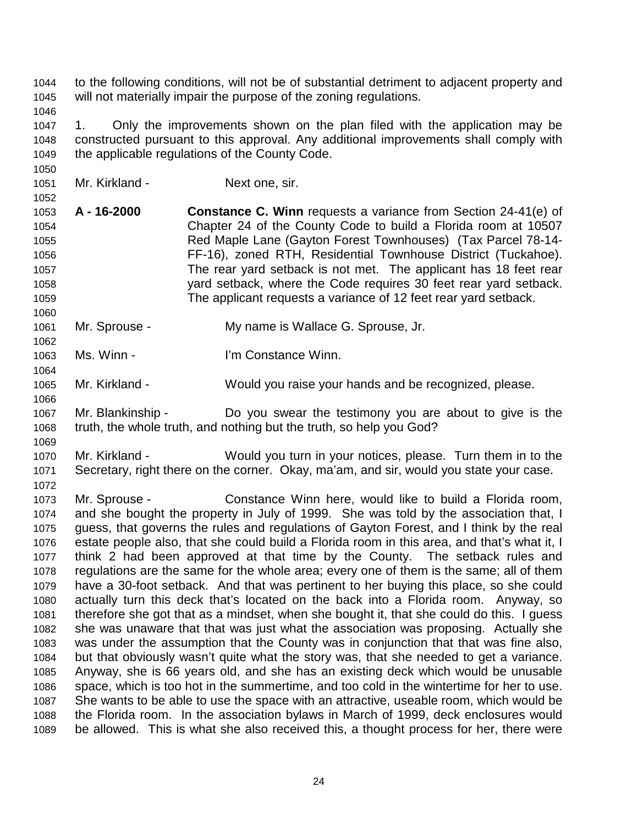1044 to the following conditions, will not be of substantial detriment to adjacent property and 1045 will not materially impair the purpose of the zoning regulations. 1046

1047 1. Only the improvements shown on the plan filed with the application may be 1048 constructed pursuant to this approval. Any additional improvements shall comply with 1049 the applicable regulations of the County Code.

1051 Mr. Kirkland - Next one, sir.

1050

1052

1060

1062

1064

1066

1069

1072

1053 **A - 16-2000 Constance C. Winn** requests a variance from Section 24-41(e) of 1054 Chapter 24 of the County Code to build a Florida room at 10507 1055 Red Maple Lane (Gayton Forest Townhouses) (Tax Parcel 78-14- 1056 FF-16), zoned RTH, Residential Townhouse District (Tuckahoe). 1057 The rear yard setback is not met. The applicant has 18 feet rear 1058 yard setback, where the Code requires 30 feet rear yard setback. 1059 The applicant requests a variance of 12 feet rear yard setback.

1061 Mr. Sprouse - My name is Wallace G. Sprouse, Jr.

1063 Ms. Winn - I'm Constance Winn.

1065 Mr. Kirkland - Would you raise your hands and be recognized, please.

1067 Mr. Blankinship - Do you swear the testimony you are about to give is the 1068 truth, the whole truth, and nothing but the truth, so help you God?

1070 Mr. Kirkland - Would you turn in your notices, please. Turn them in to the 1071 Secretary, right there on the corner. Okay, ma'am, and sir, would you state your case.

1073 Mr. Sprouse - Constance Winn here, would like to build a Florida room, 1074 and she bought the property in July of 1999. She was told by the association that, I 1075 guess, that governs the rules and regulations of Gayton Forest, and I think by the real 1076 estate people also, that she could build a Florida room in this area, and that's what it, I 1077 think 2 had been approved at that time by the County. The setback rules and 1078 regulations are the same for the whole area; every one of them is the same; all of them 1079 have a 30-foot setback. And that was pertinent to her buying this place, so she could 1080 actually turn this deck that's located on the back into a Florida room. Anyway, so 1081 therefore she got that as a mindset, when she bought it, that she could do this. I guess 1082 she was unaware that that was just what the association was proposing. Actually she 1083 was under the assumption that the County was in conjunction that that was fine also, 1084 but that obviously wasn't quite what the story was, that she needed to get a variance. 1085 Anyway, she is 66 years old, and she has an existing deck which would be unusable 1086 space, which is too hot in the summertime, and too cold in the wintertime for her to use. 1087 She wants to be able to use the space with an attractive, useable room, which would be 1088 the Florida room. In the association bylaws in March of 1999, deck enclosures would 1089 be allowed. This is what she also received this, a thought process for her, there were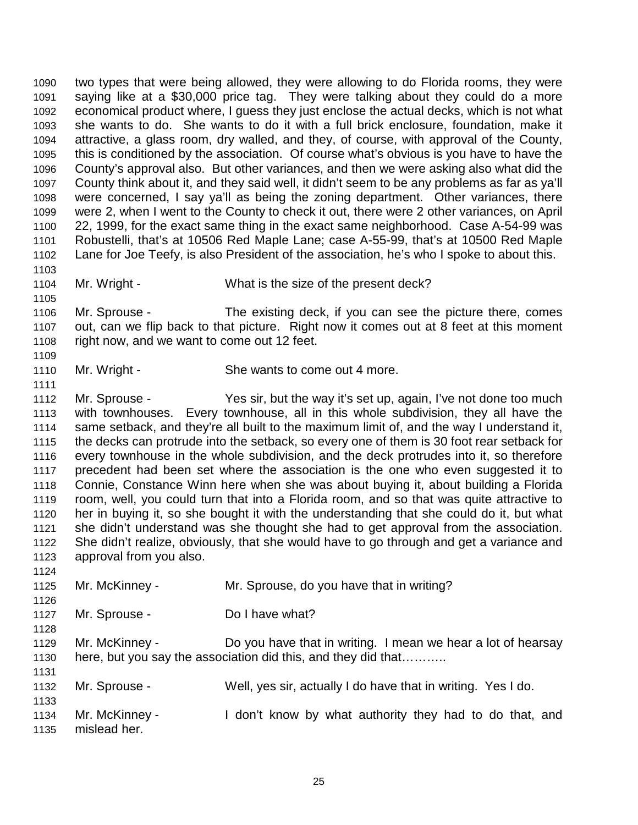1090 two types that were being allowed, they were allowing to do Florida rooms, they were 1091 saying like at a \$30,000 price tag. They were talking about they could do a more 1092 economical product where, I guess they just enclose the actual decks, which is not what 1093 she wants to do. She wants to do it with a full brick enclosure, foundation, make it 1094 attractive, a glass room, dry walled, and they, of course, with approval of the County, 1095 this is conditioned by the association. Of course what's obvious is you have to have the 1096 County's approval also. But other variances, and then we were asking also what did the 1097 County think about it, and they said well, it didn't seem to be any problems as far as ya'll 1098 were concerned, I say ya'll as being the zoning department. Other variances, there 1099 were 2, when I went to the County to check it out, there were 2 other variances, on April 1100 22, 1999, for the exact same thing in the exact same neighborhood. Case A-54-99 was 1101 Robustelli, that's at 10506 Red Maple Lane; case A-55-99, that's at 10500 Red Maple 1102 Lane for Joe Teefy, is also President of the association, he's who I spoke to about this. 1103 1104 Mr. Wright - What is the size of the present deck? 1105 1106 Mr. Sprouse - The existing deck, if you can see the picture there, comes 1107 out, can we flip back to that picture. Right now it comes out at 8 feet at this moment 1108 right now, and we want to come out 12 feet. 1109 1110 Mr. Wright - She wants to come out 4 more. 1111 1112 Mr. Sprouse - Yes sir, but the way it's set up, again, I've not done too much 1113 with townhouses. Every townhouse, all in this whole subdivision, they all have the 1114 same setback, and they're all built to the maximum limit of, and the way I understand it, 1115 the decks can protrude into the setback, so every one of them is 30 foot rear setback for 1116 every townhouse in the whole subdivision, and the deck protrudes into it, so therefore 1117 precedent had been set where the association is the one who even suggested it to 1118 Connie, Constance Winn here when she was about buying it, about building a Florida 1119 room, well, you could turn that into a Florida room, and so that was quite attractive to 1120 her in buying it, so she bought it with the understanding that she could do it, but what 1121 she didn't understand was she thought she had to get approval from the association. 1122 She didn't realize, obviously, that she would have to go through and get a variance and 1123 approval from you also. 1124 1125 Mr. McKinney - Mr. Sprouse, do you have that in writing? 1126 1127 Mr. Sprouse - Do I have what? 1128 1129 Mr. McKinney - Do you have that in writing. I mean we hear a lot of hearsay 1130 here, but you say the association did this, and they did that……….. 1131 1132 Mr. Sprouse - Well, yes sir, actually I do have that in writing. Yes I do. 1133 1134 Mr. McKinney - I don't know by what authority they had to do that, and

1135 mislead her.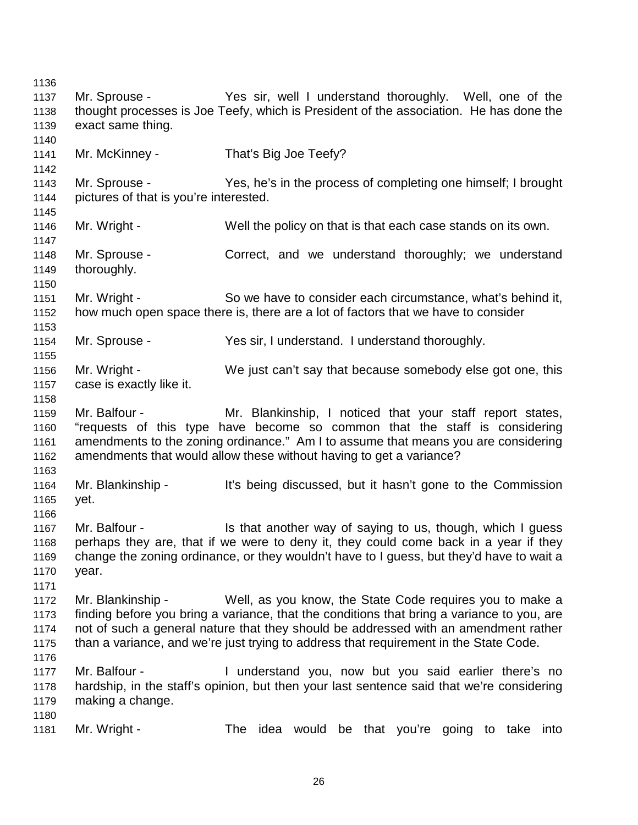1136 1137 Mr. Sprouse - Yes sir, well I understand thoroughly. Well, one of the 1138 thought processes is Joe Teefy, which is President of the association. He has done the 1139 exact same thing. 1140 1141 Mr. McKinney - That's Big Joe Teefy? 1142 1143 Mr. Sprouse - Yes, he's in the process of completing one himself; I brought 1144 pictures of that is you're interested. 1145 1146 Mr. Wright - Well the policy on that is that each case stands on its own. 1147 1148 Mr. Sprouse - Correct, and we understand thoroughly; we understand 1149 thoroughly. 1150 1151 Mr. Wright - So we have to consider each circumstance, what's behind it, 1152 how much open space there is, there are a lot of factors that we have to consider 1153 1154 Mr. Sprouse - Yes sir, I understand. I understand thoroughly. 1155 1156 Mr. Wright - We just can't say that because somebody else got one, this 1157 case is exactly like it. 1158 1159 Mr. Balfour - Mr. Blankinship, I noticed that your staff report states, 1160 "requests of this type have become so common that the staff is considering 1161 amendments to the zoning ordinance." Am I to assume that means you are considering 1162 amendments that would allow these without having to get a variance? 1163 1164 Mr. Blankinship - It's being discussed, but it hasn't gone to the Commission 1165 yet. 1166 1167 Mr. Balfour - Is that another way of saying to us, though, which I guess 1168 perhaps they are, that if we were to deny it, they could come back in a year if they 1169 change the zoning ordinance, or they wouldn't have to I guess, but they'd have to wait a 1170 year. 1171 1172 Mr. Blankinship - Well, as you know, the State Code requires you to make a 1173 finding before you bring a variance, that the conditions that bring a variance to you, are 1174 not of such a general nature that they should be addressed with an amendment rather 1175 than a variance, and we're just trying to address that requirement in the State Code. 1176 1177 Mr. Balfour - I understand you, now but you said earlier there's no 1178 hardship, in the staff's opinion, but then your last sentence said that we're considering 1179 making a change. 1180 1181 Mr. Wright - The idea would be that you're going to take into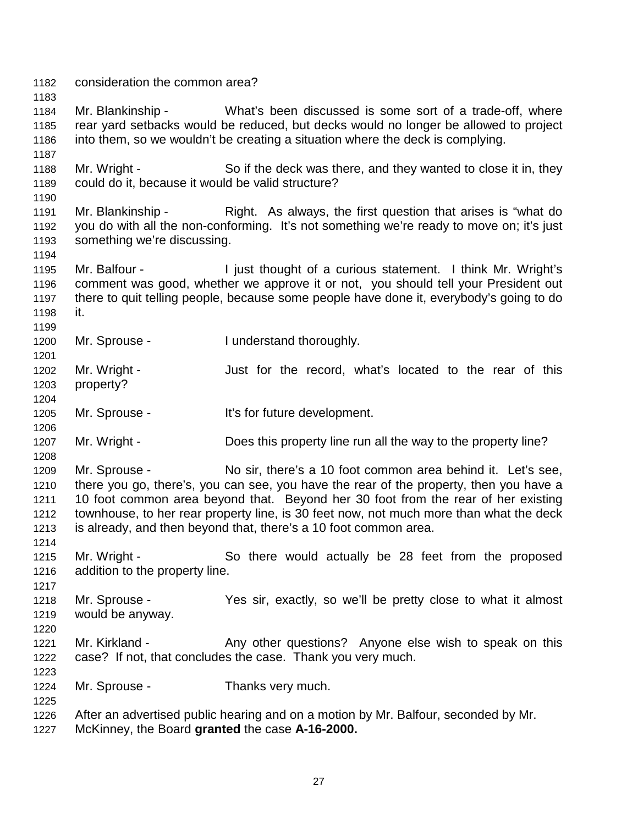1182 consideration the common area? 1183 1184 Mr. Blankinship - What's been discussed is some sort of a trade-off, where 1185 rear yard setbacks would be reduced, but decks would no longer be allowed to project 1186 into them, so we wouldn't be creating a situation where the deck is complying. 1187 1188 Mr. Wright - So if the deck was there, and they wanted to close it in, they 1189 could do it, because it would be valid structure? 1190 1191 Mr. Blankinship - Right. As always, the first question that arises is "what do 1192 you do with all the non-conforming. It's not something we're ready to move on; it's just 1193 something we're discussing. 1194 1195 Mr. Balfour - I just thought of a curious statement. I think Mr. Wright's 1196 comment was good, whether we approve it or not, you should tell your President out 1197 there to quit telling people, because some people have done it, everybody's going to do 1198 it. 1199 1200 Mr. Sprouse - I understand thoroughly. 1201 1202 Mr. Wright - Just for the record, what's located to the rear of this 1203 property? 1204 1205 Mr. Sprouse - It's for future development. 1206 1207 Mr. Wright - Does this property line run all the way to the property line? 1208 1209 Mr. Sprouse - No sir, there's a 10 foot common area behind it. Let's see, 1210 there you go, there's, you can see, you have the rear of the property, then you have a 1211 10 foot common area beyond that. Beyond her 30 foot from the rear of her existing 1212 townhouse, to her rear property line, is 30 feet now, not much more than what the deck 1213 is already, and then beyond that, there's a 10 foot common area. 1214 1215 Mr. Wright - So there would actually be 28 feet from the proposed 1216 addition to the property line. 1217 1218 Mr. Sprouse - Yes sir, exactly, so we'll be pretty close to what it almost 1219 would be anyway. 1220 1221 Mr. Kirkland - Any other questions? Anyone else wish to speak on this 1222 case? If not, that concludes the case. Thank you very much. 1223 1224 Mr. Sprouse - Thanks very much. 1225 1226 After an advertised public hearing and on a motion by Mr. Balfour, seconded by Mr. 1227 McKinney, the Board **granted** the case **A-16-2000.**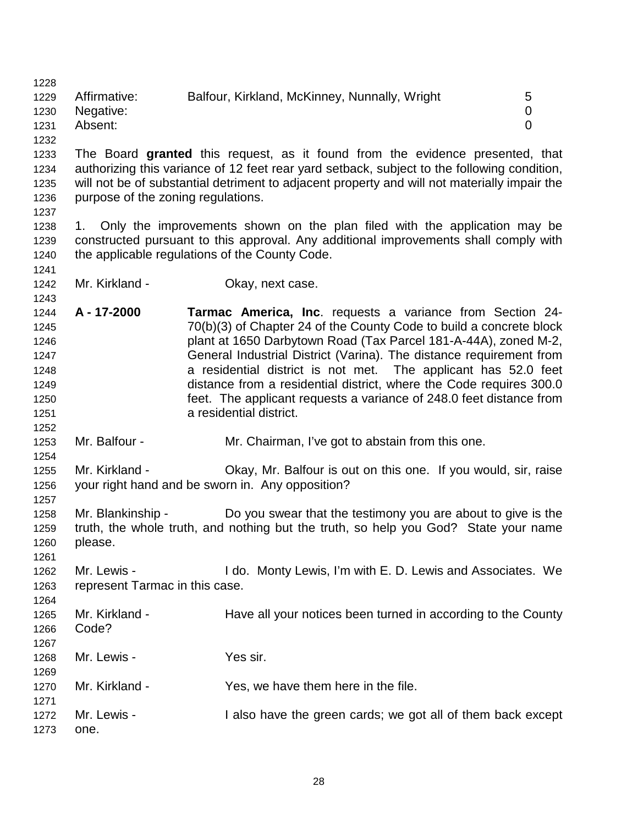1228 1229 Affirmative: Balfour, Kirkland, McKinney, Nunnally, Wright 5 1230 Negative: 0 1231 Absent: 0

1232

1233 The Board **granted** this request, as it found from the evidence presented, that 1234 authorizing this variance of 12 feet rear yard setback, subject to the following condition, 1235 will not be of substantial detriment to adjacent property and will not materially impair the 1236 purpose of the zoning regulations.

1237

1241

1243

1252

1254

1264

1238 1. Only the improvements shown on the plan filed with the application may be 1239 constructed pursuant to this approval. Any additional improvements shall comply with 1240 the applicable regulations of the County Code.

1242 Mr. Kirkland - **Okay, next case.** 

1244 **A - 17-2000 Tarmac America, Inc**. requests a variance from Section 24- 1245 70(b)(3) of Chapter 24 of the County Code to build a concrete block 1246 plant at 1650 Darbytown Road (Tax Parcel 181-A-44A), zoned M-2, 1247 General Industrial District (Varina). The distance requirement from 1248 a residential district is not met. The applicant has 52.0 feet 1249 distance from a residential district, where the Code requires 300.0 1250 feet. The applicant requests a variance of 248.0 feet distance from 1251 a residential district.

1253 Mr. Balfour - Mr. Chairman, I've got to abstain from this one.

1255 Mr. Kirkland - Okay, Mr. Balfour is out on this one. If you would, sir, raise 1256 your right hand and be sworn in. Any opposition? 1257

1258 Mr. Blankinship - Do you swear that the testimony you are about to give is the 1259 truth, the whole truth, and nothing but the truth, so help you God? State your name 1260 please. 1261

1262 Mr. Lewis - I do. Monty Lewis, I'm with E. D. Lewis and Associates. We 1263 represent Tarmac in this case.

| 1265<br>1266 | Mr. Kirkland -<br>Code? | Have all your notices been turned in according to the County |
|--------------|-------------------------|--------------------------------------------------------------|
| 1267         |                         |                                                              |
| 1268         | Mr. Lewis -             | Yes sir.                                                     |
| 1269         |                         |                                                              |
| 1270         | Mr. Kirkland -          | Yes, we have them here in the file.                          |
| 1271         |                         |                                                              |
| 1272         | Mr. Lewis -             | I also have the green cards; we got all of them back except  |
|              |                         |                                                              |
| 1273         | one.                    |                                                              |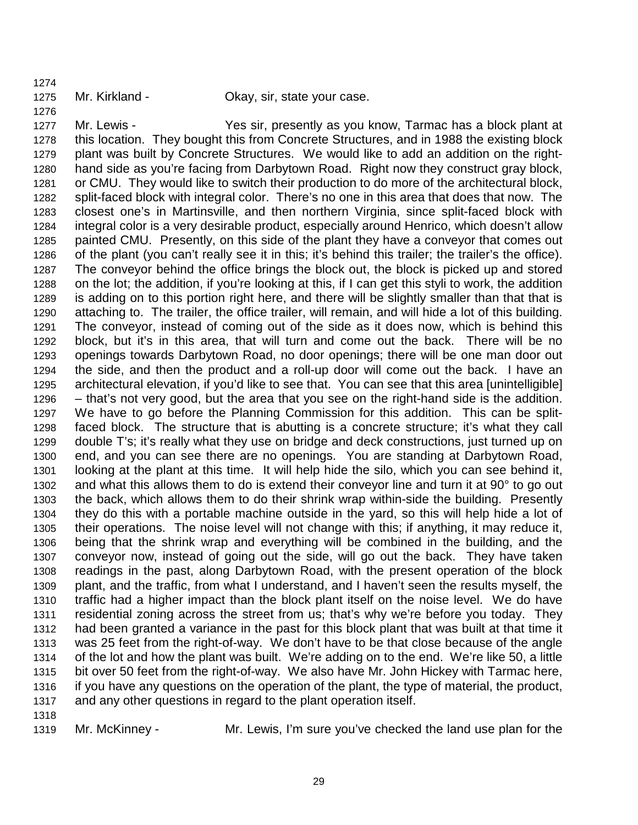1274

1276

1275 Mr. Kirkland - Okay, sir, state your case.

1277 Mr. Lewis - Yes sir, presently as you know, Tarmac has a block plant at 1278 this location. They bought this from Concrete Structures, and in 1988 the existing block 1279 plant was built by Concrete Structures. We would like to add an addition on the right-1280 hand side as you're facing from Darbytown Road. Right now they construct gray block, 1281 or CMU. They would like to switch their production to do more of the architectural block, 1282 split-faced block with integral color. There's no one in this area that does that now. The 1283 closest one's in Martinsville, and then northern Virginia, since split-faced block with 1284 integral color is a very desirable product, especially around Henrico, which doesn't allow 1285 painted CMU. Presently, on this side of the plant they have a conveyor that comes out 1286 of the plant (you can't really see it in this; it's behind this trailer; the trailer's the office). 1287 The conveyor behind the office brings the block out, the block is picked up and stored 1288 on the lot; the addition, if you're looking at this, if I can get this styli to work, the addition 1289 is adding on to this portion right here, and there will be slightly smaller than that that is 1290 attaching to. The trailer, the office trailer, will remain, and will hide a lot of this building. 1291 The conveyor, instead of coming out of the side as it does now, which is behind this 1292 block, but it's in this area, that will turn and come out the back. There will be no 1293 openings towards Darbytown Road, no door openings; there will be one man door out 1294 the side, and then the product and a roll-up door will come out the back. I have an 1295 architectural elevation, if you'd like to see that. You can see that this area [unintelligible] 1296 – that's not very good, but the area that you see on the right-hand side is the addition. 1297 We have to go before the Planning Commission for this addition. This can be split-1298 faced block. The structure that is abutting is a concrete structure; it's what they call 1299 double T's; it's really what they use on bridge and deck constructions, just turned up on 1300 end, and you can see there are no openings. You are standing at Darbytown Road, 1301 looking at the plant at this time. It will help hide the silo, which you can see behind it, 1302 and what this allows them to do is extend their conveyor line and turn it at 90° to go out 1303 the back, which allows them to do their shrink wrap within-side the building. Presently 1304 they do this with a portable machine outside in the yard, so this will help hide a lot of 1305 their operations. The noise level will not change with this; if anything, it may reduce it, 1306 being that the shrink wrap and everything will be combined in the building, and the 1307 conveyor now, instead of going out the side, will go out the back. They have taken 1308 readings in the past, along Darbytown Road, with the present operation of the block 1309 plant, and the traffic, from what I understand, and I haven't seen the results myself, the 1310 traffic had a higher impact than the block plant itself on the noise level. We do have 1311 residential zoning across the street from us; that's why we're before you today. They 1312 had been granted a variance in the past for this block plant that was built at that time it 1313 was 25 feet from the right-of-way. We don't have to be that close because of the angle 1314 of the lot and how the plant was built. We're adding on to the end. We're like 50, a little 1315 bit over 50 feet from the right-of-way. We also have Mr. John Hickey with Tarmac here, 1316 if you have any questions on the operation of the plant, the type of material, the product, 1317 and any other questions in regard to the plant operation itself.

1318

1319 Mr. McKinney - Mr. Lewis, I'm sure you've checked the land use plan for the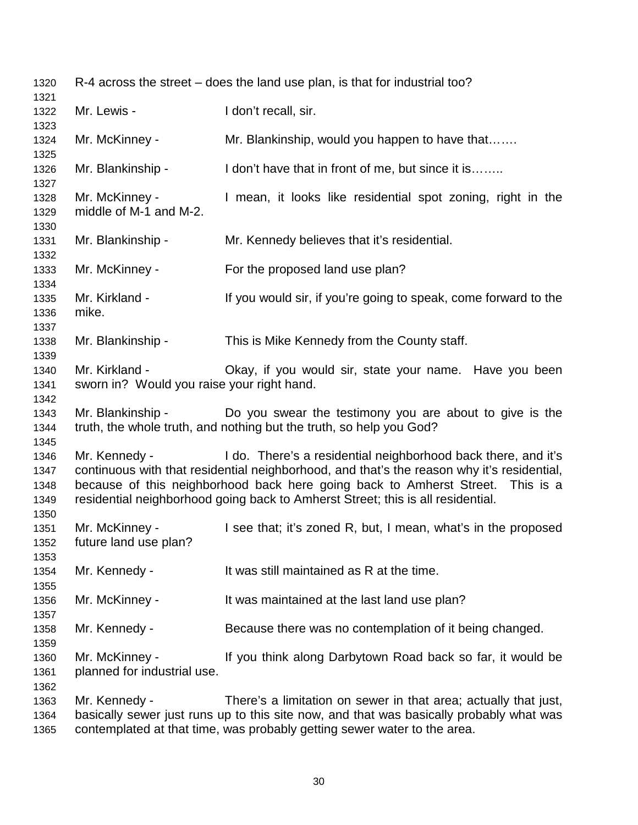| 1320<br>1321                         | R-4 across the street – does the land use plan, is that for industrial too? |                                                                                                                                                                                                                                                                                                                                  |  |
|--------------------------------------|-----------------------------------------------------------------------------|----------------------------------------------------------------------------------------------------------------------------------------------------------------------------------------------------------------------------------------------------------------------------------------------------------------------------------|--|
| 1322                                 | Mr. Lewis -                                                                 | I don't recall, sir.                                                                                                                                                                                                                                                                                                             |  |
| 1323<br>1324                         | Mr. McKinney -                                                              | Mr. Blankinship, would you happen to have that                                                                                                                                                                                                                                                                                   |  |
| 1325<br>1326                         | Mr. Blankinship -                                                           | I don't have that in front of me, but since it is                                                                                                                                                                                                                                                                                |  |
| 1327<br>1328<br>1329                 | Mr. McKinney -<br>middle of M-1 and M-2.                                    | I mean, it looks like residential spot zoning, right in the                                                                                                                                                                                                                                                                      |  |
| 1330<br>1331                         | Mr. Blankinship -                                                           | Mr. Kennedy believes that it's residential.                                                                                                                                                                                                                                                                                      |  |
| 1332<br>1333                         | Mr. McKinney -                                                              | For the proposed land use plan?                                                                                                                                                                                                                                                                                                  |  |
| 1334<br>1335<br>1336<br>1337         | Mr. Kirkland -<br>mike.                                                     | If you would sir, if you're going to speak, come forward to the                                                                                                                                                                                                                                                                  |  |
| 1338<br>1339                         | Mr. Blankinship -                                                           | This is Mike Kennedy from the County staff.                                                                                                                                                                                                                                                                                      |  |
| 1340<br>1341                         | Mr. Kirkland -<br>sworn in? Would you raise your right hand.                | Okay, if you would sir, state your name. Have you been                                                                                                                                                                                                                                                                           |  |
| 1342<br>1343<br>1344                 | Mr. Blankinship -                                                           | Do you swear the testimony you are about to give is the<br>truth, the whole truth, and nothing but the truth, so help you God?                                                                                                                                                                                                   |  |
| 1345<br>1346<br>1347<br>1348<br>1349 | Mr. Kennedy -                                                               | I do. There's a residential neighborhood back there, and it's<br>continuous with that residential neighborhood, and that's the reason why it's residential,<br>because of this neighborhood back here going back to Amherst Street. This is a<br>residential neighborhood going back to Amherst Street; this is all residential. |  |
| 1350<br>1351<br>1352                 | Mr. McKinney -<br>future land use plan?                                     | I see that; it's zoned R, but, I mean, what's in the proposed                                                                                                                                                                                                                                                                    |  |
| 1353<br>1354<br>1355                 | Mr. Kennedy -                                                               | It was still maintained as R at the time.                                                                                                                                                                                                                                                                                        |  |
| 1356<br>1357                         | Mr. McKinney -                                                              | It was maintained at the last land use plan?                                                                                                                                                                                                                                                                                     |  |
| 1358                                 | Mr. Kennedy -                                                               | Because there was no contemplation of it being changed.                                                                                                                                                                                                                                                                          |  |
| 1359<br>1360<br>1361<br>1362         | Mr. McKinney -<br>planned for industrial use.                               | If you think along Darbytown Road back so far, it would be                                                                                                                                                                                                                                                                       |  |
| 1363<br>1364<br>1365                 | Mr. Kennedy -                                                               | There's a limitation on sewer in that area; actually that just,<br>basically sewer just runs up to this site now, and that was basically probably what was<br>contemplated at that time, was probably getting sewer water to the area.                                                                                           |  |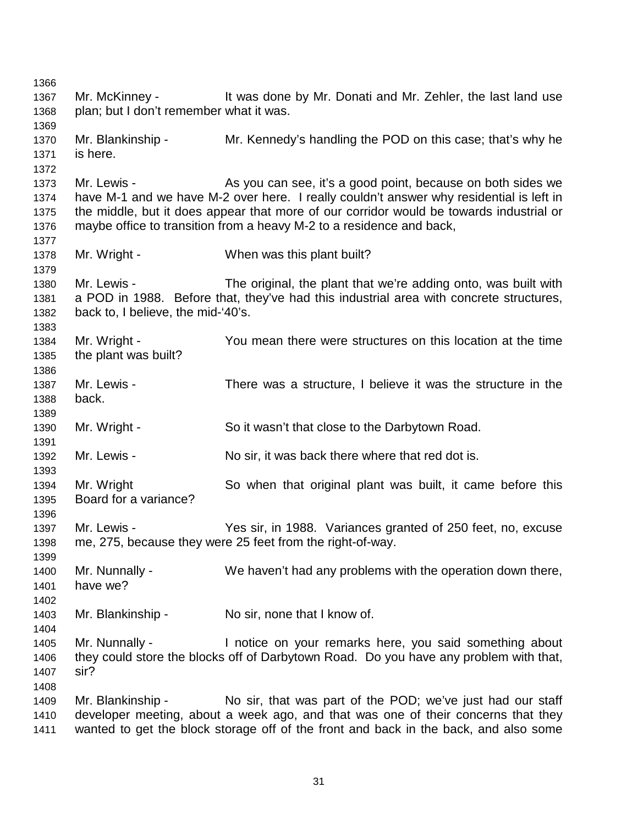1366 1367 Mr. McKinney - It was done by Mr. Donati and Mr. Zehler, the last land use 1368 plan; but I don't remember what it was. 1369 1370 Mr. Blankinship - Mr. Kennedy's handling the POD on this case; that's why he 1371 is here. 1372 1373 Mr. Lewis - As you can see, it's a good point, because on both sides we 1374 have M-1 and we have M-2 over here. I really couldn't answer why residential is left in 1375 the middle, but it does appear that more of our corridor would be towards industrial or 1376 maybe office to transition from a heavy M-2 to a residence and back, 1377 1378 Mr. Wright - When was this plant built? 1379 1380 Mr. Lewis - The original, the plant that we're adding onto, was built with 1381 a POD in 1988. Before that, they've had this industrial area with concrete structures, 1382 back to, I believe, the mid-'40's. 1383 1384 Mr. Wright - You mean there were structures on this location at the time 1385 the plant was built? 1386 1387 Mr. Lewis - There was a structure, I believe it was the structure in the 1388 back. 1389 1390 Mr. Wright - So it wasn't that close to the Darbytown Road. 1391 1392 Mr. Lewis - No sir, it was back there where that red dot is. 1393 1394 Mr. Wright So when that original plant was built, it came before this 1395 Board for a variance? 1396 1397 Mr. Lewis - Yes sir, in 1988. Variances granted of 250 feet, no, excuse 1398 me, 275, because they were 25 feet from the right-of-way. 1399 1400 Mr. Nunnally - We haven't had any problems with the operation down there, 1401 have we? 1402 1403 Mr. Blankinship - No sir, none that I know of. 1404 1405 Mr. Nunnally - Inotice on your remarks here, you said something about 1406 they could store the blocks off of Darbytown Road. Do you have any problem with that, 1407 sir? 1408 1409 Mr. Blankinship - No sir, that was part of the POD; we've just had our staff 1410 developer meeting, about a week ago, and that was one of their concerns that they 1411 wanted to get the block storage off of the front and back in the back, and also some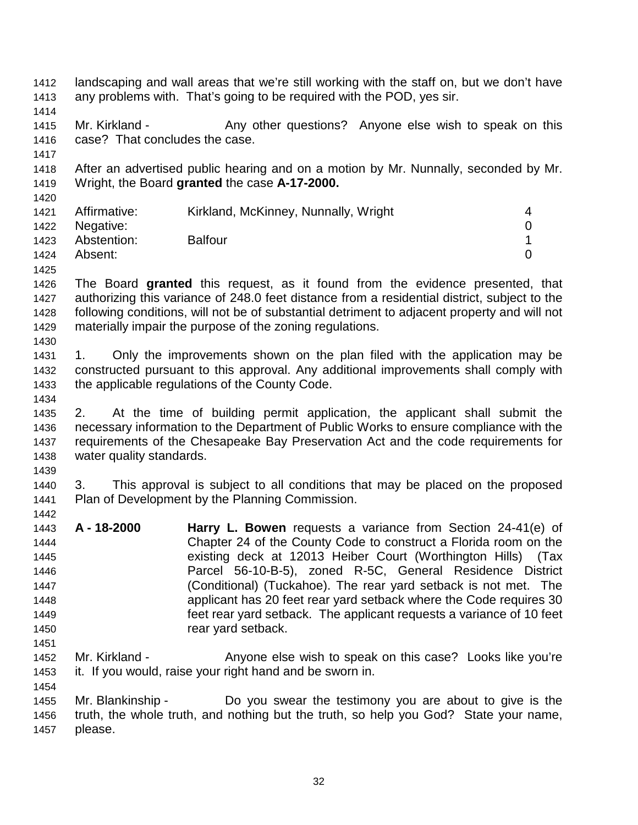1412 landscaping and wall areas that we're still working with the staff on, but we don't have 1413 any problems with. That's going to be required with the POD, yes sir. 1414 1415 Mr. Kirkland - Any other questions? Anyone else wish to speak on this 1416 case? That concludes the case. 1417 1418 After an advertised public hearing and on a motion by Mr. Nunnally, seconded by Mr. 1419 Wright, the Board **granted** the case **A-17-2000.** 1420 1421 Affirmative: Kirkland, McKinney, Nunnally, Wright 4 1422 Negative: 0 1423 Abstention: Balfour 1 1424 Absent: 0 1425 1426 The Board **granted** this request, as it found from the evidence presented, that 1427 authorizing this variance of 248.0 feet distance from a residential district, subject to the 1428 following conditions, will not be of substantial detriment to adjacent property and will not 1429 materially impair the purpose of the zoning regulations. 1430 1431 1. Only the improvements shown on the plan filed with the application may be 1432 constructed pursuant to this approval. Any additional improvements shall comply with 1433 the applicable regulations of the County Code. 1434 1435 2. At the time of building permit application, the applicant shall submit the 1436 necessary information to the Department of Public Works to ensure compliance with the 1437 requirements of the Chesapeake Bay Preservation Act and the code requirements for 1438 water quality standards. 1439 1440 3. This approval is subject to all conditions that may be placed on the proposed 1441 Plan of Development by the Planning Commission. 1442 1443 **A - 18-2000 Harry L. Bowen** requests a variance from Section 24-41(e) of 1444 Chapter 24 of the County Code to construct a Florida room on the 1445 existing deck at 12013 Heiber Court (Worthington Hills) (Tax 1446 Parcel 56-10-B-5), zoned R-5C, General Residence District 1447 (Conditional) (Tuckahoe). The rear yard setback is not met. The 1448 applicant has 20 feet rear yard setback where the Code requires 30 1449 feet rear yard setback. The applicant requests a variance of 10 feet 1450 **rear yard setback.** 1451 1452 Mr. Kirkland - Anyone else wish to speak on this case? Looks like you're 1453 it. If you would, raise your right hand and be sworn in. 1454 1455 Mr. Blankinship - Do you swear the testimony you are about to give is the 1456 truth, the whole truth, and nothing but the truth, so help you God? State your name, 1457 please.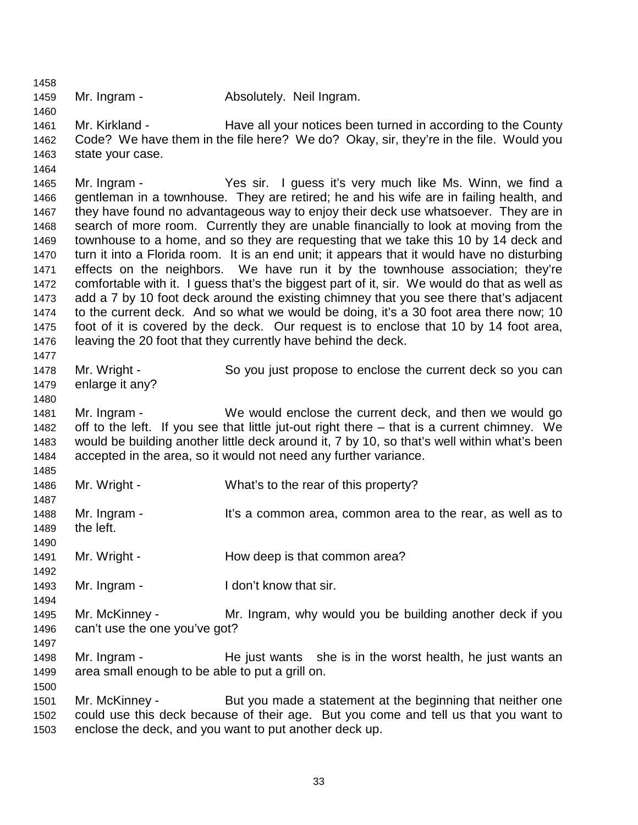1459 Mr. Ingram - **Absolutely. Neil Ingram.** 

1458

1460

1464

1477

1480

1485

1490

1492

1494

1500

1461 Mr. Kirkland - Have all your notices been turned in according to the County 1462 Code? We have them in the file here? We do? Okay, sir, they're in the file. Would you 1463 state your case.

1465 Mr. Ingram - Yes sir. I guess it's very much like Ms. Winn, we find a 1466 gentleman in a townhouse. They are retired; he and his wife are in failing health, and 1467 they have found no advantageous way to enjoy their deck use whatsoever. They are in 1468 search of more room. Currently they are unable financially to look at moving from the 1469 townhouse to a home, and so they are requesting that we take this 10 by 14 deck and 1470 turn it into a Florida room. It is an end unit; it appears that it would have no disturbing 1471 effects on the neighbors. We have run it by the townhouse association; they're 1472 comfortable with it. I guess that's the biggest part of it, sir. We would do that as well as 1473 add a 7 by 10 foot deck around the existing chimney that you see there that's adjacent 1474 to the current deck. And so what we would be doing, it's a 30 foot area there now; 10 1475 foot of it is covered by the deck. Our request is to enclose that 10 by 14 foot area, 1476 leaving the 20 foot that they currently have behind the deck.

1478 Mr. Wright - So you just propose to enclose the current deck so you can 1479 enlarge it any?

1481 Mr. Ingram - We would enclose the current deck, and then we would go 1482 off to the left. If you see that little jut-out right there – that is a current chimney. We 1483 would be building another little deck around it, 7 by 10, so that's well within what's been 1484 accepted in the area, so it would not need any further variance.

1486 Mr. Wright - What's to the rear of this property?

1487 1488 Mr. Ingram - It's a common area, common area to the rear, as well as to 1489 the left.

1491 Mr. Wright - How deep is that common area?

1493 Mr. Ingram - I don't know that sir.

1495 Mr. McKinney - Mr. Ingram, why would you be building another deck if you 1496 can't use the one you've got? 1497

1498 Mr. Ingram - He just wants she is in the worst health, he just wants an 1499 area small enough to be able to put a grill on.

1501 Mr. McKinney - But you made a statement at the beginning that neither one 1502 could use this deck because of their age. But you come and tell us that you want to 1503 enclose the deck, and you want to put another deck up.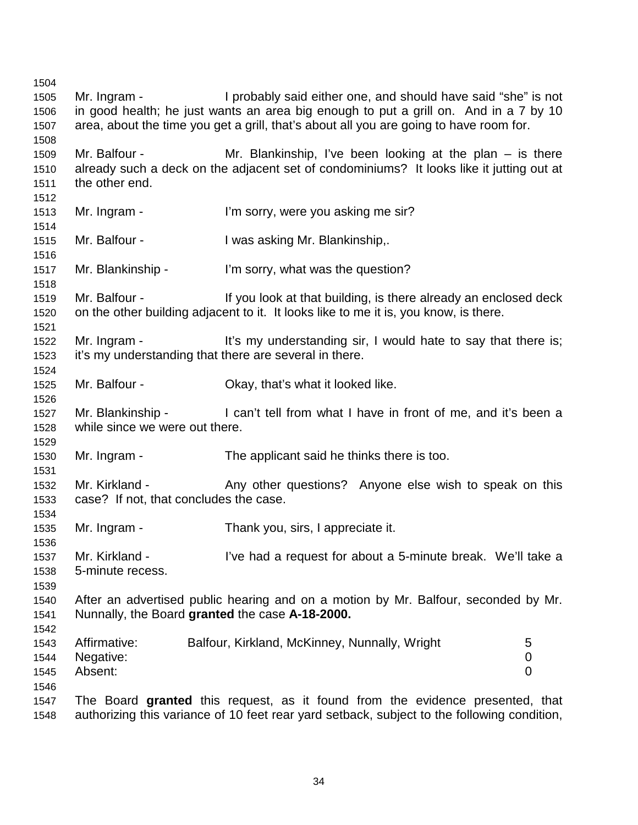1504 1505 Mr. Ingram - I probably said either one, and should have said "she" is not 1506 in good health; he just wants an area big enough to put a grill on. And in a 7 by 10 1507 area, about the time you get a grill, that's about all you are going to have room for. 1508 1509 Mr. Balfour - Mr. Blankinship, I've been looking at the plan – is there 1510 already such a deck on the adjacent set of condominiums? It looks like it jutting out at 1511 the other end. 1512 1513 Mr. Ingram - I'm sorry, were you asking me sir? 1514 1515 Mr. Balfour - I was asking Mr. Blankinship,. 1516 1517 Mr. Blankinship - I'm sorry, what was the question? 1518 1519 Mr. Balfour - If you look at that building, is there already an enclosed deck 1520 on the other building adjacent to it. It looks like to me it is, you know, is there. 1521 1522 Mr. Ingram - It's my understanding sir, I would hate to say that there is; 1523 it's my understanding that there are several in there. 1524 1525 Mr. Balfour - Okay, that's what it looked like. 1526 1527 Mr. Blankinship - I can't tell from what I have in front of me, and it's been a 1528 while since we were out there. 1529 1530 Mr. Ingram - The applicant said he thinks there is too. 1531 1532 Mr. Kirkland - Any other questions? Anyone else wish to speak on this 1533 case? If not, that concludes the case. 1534 1535 Mr. Ingram - Thank you, sirs, I appreciate it. 1536 1537 Mr. Kirkland - I've had a request for about a 5-minute break. We'll take a 1538 5-minute recess. 1539 1540 After an advertised public hearing and on a motion by Mr. Balfour, seconded by Mr. 1541 Nunnally, the Board **granted** the case **A-18-2000.** 1542 1543 Affirmative: Balfour, Kirkland, McKinney, Nunnally, Wright 5 1544 Negative: 0 1545 Absent: 0 1546 1547 The Board **granted** this request, as it found from the evidence presented, that 1548 authorizing this variance of 10 feet rear yard setback, subject to the following condition,